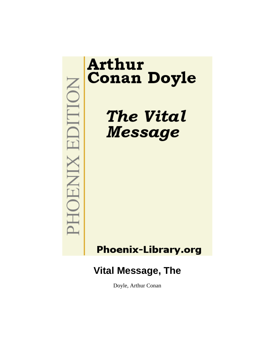# **MOHNIX EDITION**

# **Arthur Conan Doyle**

The Vital **Message** 

**Phoenix-Library.org** 

# **Vital Message, The**

Doyle, Arthur Conan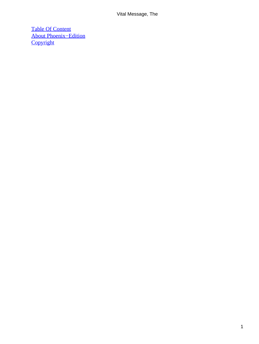[Table Of Content](#page-52-0) [About Phoenix−Edition](#page-53-0) **[Copyright](#page-54-0)**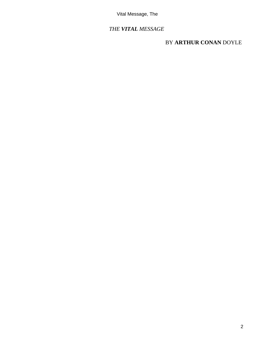Vital Message, The

# *THE VITAL MESSAGE*

BY **ARTHUR CONAN** DOYLE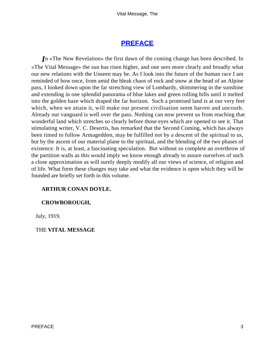# **[PREFACE](#page-52-0)**

<span id="page-3-0"></span>*I*n «The New Revelation» the first dawn of the coming change has been described. In «The Vital Message» the sun has risen higher, and one sees more clearly and broadly what our new relations with the Unseen may be. As I look into the future of the human race I am reminded of how once, from amid the bleak chaos of rock and snow at the head of an Alpine pass, I looked down upon the far stretching view of Lombardy, shimmering in the sunshine and extending in one splendid panorama of blue lakes and green rolling hills until it melted into the golden haze which draped the far horizon. Such a promised land is at our very feet which, when we attain it, will make our present civilisation seem barren and uncouth. Already our vanguard is well over the pass. Nothing can now prevent us from reaching that wonderful land which stretches so clearly before those eyes which are opened to see it. That stimulating writer, V. C. Desertis, has remarked that the Second Coming, which has always been timed to follow Armageddon, may be fulfilled not by a descent of the spiritual to us, but by the ascent of our material plane to the spiritual, and the blending of the two phases of existence. It is, at least, a fascinating speculation. But without so complete an overthrow of the partition walls as this would imply we know enough already to assure ourselves of such a close approximation as will surely deeply modify all our views of science, of religion and of life. What form these changes may take and what the evidence is upon which they will be founded are briefly set forth in this volume.

# **ARTHUR CONAN DOYLE.**

# **CROWBOROUGH,**

July, 1919.

THE **VITAL MESSAGE**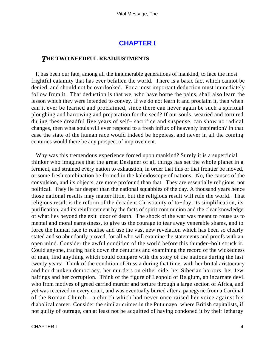# **[CHAPTER I](#page-52-0)**

#### <span id="page-4-0"></span>*T*HE **TWO NEEDFUL READJUSTMENTS**

 It has been our fate, among all the innumerable generations of mankind, to face the most frightful calamity that has ever befallen the world. There is a basic fact which cannot be denied, and should not be overlooked. For a most important deduction must immediately follow from it. That deduction is that we, who have borne the pains, shall also learn the lesson which they were intended to convey. If we do not learn it and proclaim it, then when can it ever be learned and proclaimed, since there can never again be such a spiritual ploughing and harrowing and preparation for the seed? If our souls, wearied and tortured during these dreadful five years of self− sacrifice and suspense, can show no radical changes, then what souls will ever respond to a fresh influx of heavenly inspiration? In that case the state of the human race would indeed be hopeless, and never in all the coming centuries would there be any prospect of improvement.

 Why was this tremendous experience forced upon mankind? Surely it is a superficial thinker who imagines that the great Designer of all things has set the whole planet in a ferment, and strained every nation to exhaustion, in order that this or that frontier be moved, or some fresh combination be formed in the kaleidoscope of nations. No, the causes of the convulsion, and its objects, are more profound than that. They are essentially religious, not political. They lie far deeper than the national squabbles of the day. A thousand years hence those national results may matter little, but the religious result will rule the world. That religious result is the reform of the decadent Christianity of to−day, its simplification, its purification, and its reinforcement by the facts of spirit communion and the clear knowledge of what lies beyond the exit−door of death. The shock of the war was meant to rouse us to mental and moral earnestness, to give us the courage to tear away venerable shams, and to force the human race to realise and use the vast new revelation which has been so clearly stated and so abundantly proved, for all who will examine the statements and proofs with an open mind. Consider the awful condition of the world before this thunder−bolt struck it. Could anyone, tracing back down the centuries and examining the record of the wickedness of man, find anything which could compare with the story of the nations during the last twenty years! Think of the condition of Russia during that time, with her brutal aristocracy and her drunken democracy, her murders on either side, her Siberian horrors, her Jew baitings and her corruption. Think of the figure of Leopold of Belgium, an incarnate devil who from motives of greed carried murder and torture through a large section of Africa, and yet was received in every court, and was eventually buried after a panegyric from a Cardinal of the Roman Church – a church which had never once raised her voice against his diabolical career. Consider the similar crimes in the Putumayo, where British capitalists, if not guilty of outrage, can at least not be acquitted of having condoned it by their lethargy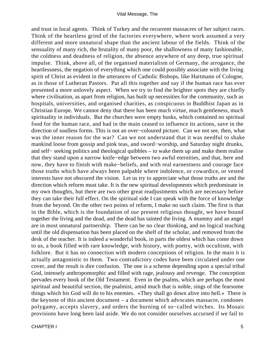and trust in local agents. Think of Turkey and the recurrent massacres of her subject races. Think of the heartless grind of the factories everywhere, where work assumed a very different and more unnatural shape than the ancient labour of the fields. Think of the sensuality of many rich, the brutality of many poor, the shallowness of many fashionable, the coldness and deadness of religion, the absence anywhere of any deep, true spiritual impulse. Think, above all, of the organised materialism of Germany, the arrogance, the heartlessness, the negation of everything which one could possibly associate with the living spirit of Christ as evident in the utterances of Catholic Bishops, like Hartmann of Cologne, as in those of Lutheran Pastors. Put all this together and say if the human race has ever presented a more unlovely aspect. When we try to find the brighter spots they are chiefly where civilisation, as apart from religion, has built up necessities for the community, such as hospitals, universities, and organised charities, as conspicuous in Buddhist Japan as in Christian Europe. We cannot deny that there has been much virtue, much gentleness, much spirituality in individuals. But the churches were empty husks, which contained no spiritual food for the human race, and had in the main ceased to influence its actions, save in the direction of soulless forms. This is not an over−coloured picture. Can we not see, then, what was the inner reason for the war? Can we not understand that it was needful to shake mankind loose from gossip and pink teas, and sword−worship, and Saturday night drunks, and self− seeking politics and theological quibbles – to wake them up and make them realise that they stand upon a narrow knife−edge between two awful eternities, and that, here and now, they have to finish with make−beliefs, and with real earnestness and courage face those truths which have always been palpable where indolence, or cowardice, or vested interests have not obscured the vision. Let us try to appreciate what those truths are and the direction which reform must take. It is the new spiritual developments which predominate in my own thoughts, but there are two other great readjustments which are necessary before they can take their full effect. On the spiritual side I can speak with the force of knowledge from the beyond. On the other two points of reform, I make no such claim. The first is that in the Bible, which is the foundation of our present religious thought, we have bound together the living and the dead, and the dead has tainted the living. A mummy and an angel are in most unnatural partnership. There can be no clear thinking, and no logical teaching until the old dispensation has been placed on the shelf of the scholar, and removed from the desk of the teacher. It is indeed a wonderful book, in parts the oldest which has come down to us, a book filled with rare knowledge, with history, with poetry, with occultism, with folklore. But it has no connection with modern conceptions of religion. In the main it is actually antagonistic to them. Two contradictory codes have been circulated under one cover, and the result is dire confusion. The one is a scheme depending upon a special tribal God, intensely anthropomorphic and filled with rage, jealousy and revenge. The conception pervades every book of the Old Testament. Even in the psalms, which are perhaps the most spiritual and beautiful section, the psalmist, amid much that is noble, sings of the fearsome things which his God will do to his enemies. «They shall go down alive into hell.» There is the keynote of this ancient document – a document which advocates massacre, condones polygamy, accepts slavery, and orders the burning of so−called witches. Its Mosaic provisions have long been laid aside. We do not consider ourselves accursed if we fail to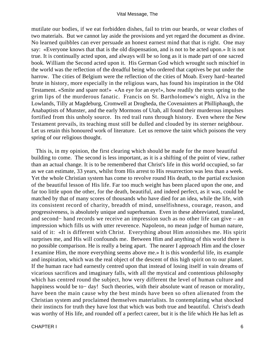mutilate our bodies, if we eat forbidden dishes, fail to trim our beards, or wear clothes of two materials. But we cannot lay aside the provisions and yet regard the document as divine. No learned quibbles can ever persuade an honest earnest mind that that is right. One may say: «Everyone knows that that is the old dispensation, and is not to be acted upon.» It is not true. It is continually acted upon, and always will be so long as it is made part of one sacred book. William the Second acted upon it. His German God which wrought such mischief in the world was the reflection of the dreadful being who ordered that captives be put under the harrow. The cities of Belgium were the reflection of the cities of Moab. Every hard−hearted brute in history, more especially in the religious wars, has found his inspiration in the Old Testament. «Smite and spare not!» «An eye for an eye!», how readily the texts spring to the grim lips of the murderous fanatic. Francis on St. Bartholomew's night, Alva in the Lowlands, Tilly at Magdeburg, Cromwell at Drogheda, the Covenainters at Philliphaugh, the Anabaptists of Munster, and the early Mormons of Utah, all found their murderous impulses fortified from this unholy source. Its red trail runs through history. Even where the New Testament prevails, its teaching must still be dulled and clouded by its sterner neighbour. Let us retain this honoured work of literature. Let us remove the taint which poisons the very spring of our religious thought.

 This is, in my opinion, the first clearing which should be made for the more beautiful building to come. The second is less important, as it is a shifting of the point of view, rather than an actual change. It is to be remembered that Christ's life in this world occupied, so far as we can estimate, 33 years, whilst from His arrest to His resurrection was less than a week. Yet the whole Christian system has come to revolve round His death, to the partial exclusion of the beautiful lesson of His life. Far too much weight has been placed upon the one, and far too little upon the other, for the death, beautiful, and indeed perfect, as it was, could be matched by that of many scores of thousands who have died for an idea, while the life, with its consistent record of charity, breadth of mind, unselfishness, courage, reason, and progressiveness, is absolutely unique and superhuman. Even in these abbreviated, translated, and second− hand records we receive an impression such as no other life can give – an impression which fills us with utter reverence. Napoleon, no mean judge of human nature, said of it: «It is different with Christ. Everything about Him astonishes me. His spirit surprises me, and His will confounds me. Between Him and anything of this world there is no possible comparison. He is really a being apart. The nearer I approach Him and the closer I examine Him, the more everything seems above me.» It is this wonderful life, its example and inspiration, which was the real object of the descent of this high spirit on to our planet. If the human race had earnestly centred upon that instead of losing itself in vain dreams of vicarious sacrifices and imaginary falls, with all the mystical and contentious philosophy which has centred round the subject, how very different the level of human culture and happiness would be to− day! Such theories, with their absolute want of reason or morality, have been the main cause why the best minds have been so often alienated from the Christian system and proclaimed themselves materialists. In contemplating what shocked their instincts for truth they have lost that which was both true and beautiful. Christ's death was worthy of His life, and rounded off a perfect career, but it is the life which He has left as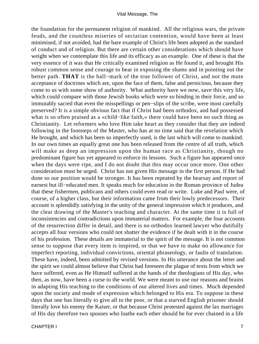the foundation for the permanent religion of mankind. All the religious wars, the private feuds, and the countless miseries of sectarian contention, would have been at least minimised, if not avoided, had the bare example of Christ's life been adopted as the standard of conduct and of religion. But there are certain other considerations which should have weight when we contemplate this life and its efficacy as an example. One of these is that the very essence of it was that He critically examined religion as He found it, and brought His robust common sense and courage to bear in exposing the shams and in pointing out the better path. **THAT** is the hall−mark of the true follower of Christ, and not the mute acceptance of doctrines which are, upon the face of them, false and pernicious, because they come to us with some show of authority. What authority have we now, save this very life, which could compare with those Jewish books which were so binding in their force, and so immutably sacred that even the misspellings or pen−slips of the scribe, were most carefully preserved? It is a simple obvious fact that if Christ had been orthodox, and had possessed what is so often praised as a «child−like faith,» there could have been no such thing as Christianity. Let reformers who love Him take heart as they consider that they are indeed following in the footsteps of the Master, who has at no time said that the revelation which He brought, and which has been so imperfectly used, is the last which will come to mankind. In our own times an equally great one has been released from the centre of all truth, which will make as deep an impression upon the human race as Christianity, though no predominant figure has yet appeared to enforce its lessons. Such a figure has appeared once when the days were ripe, and I do not doubt that this may occur once more. One other consideration must be urged. Christ has not given His message in the first person. If He had done so our position would be stronger. It has been repeated by the hearsay and report of earnest but ill−educated men. It speaks much for education in the Roman province of Judea that these fishermen, publicans and others could even read or write. Luke and Paul were, of course, of a higher class, but their information came from their lowly predecessors. Their account is splendidly satisfying in the unity of the general impression which it produces, and the clear drawing of the Master's teaching and character. At the same time it is full of inconsistencies and contradictions upon immaterial matters. For example, the four accounts of the resurrection differ in detail, and there is no orthodox learned lawyer who dutifully accepts all four versions who could not shatter the evidence if he dealt with it in the course of his profession. These details are immaterial to the spirit of the message. It is not common sense to suppose that every item is inspired, or that we have to make no allowance for imperfect reporting, individual convictions, oriental phraseology, or faults of translation. These have, indeed, been admitted by revised versions. In His utterance about the letter and the spirit we could almost believe that Christ had foreseen the plague of texts from which we have suffered, even as He Himself suffered at the hands of the theologians of His day, who then, as now, have been a curse to the world. We were meant to use our reasons and brains in adapting His teaching to the conditions of our altered lives and times. Much depended upon the society and mode of expression which belonged to His era. To suppose in these days that one has literally to give all to the poor, or that a starved English prisoner should literally love his enemy the Kaiser, or that because Christ protested against the lax marriages of His day therefore two spouses who loathe each other should be for ever chained in a life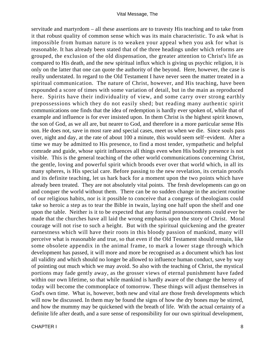servitude and martyrdom – all these assertions are to travesty His teaching and to take from it that robust quality of common sense which was its main characteristic. To ask what is impossible from human nature is to weaken your appeal when you ask for what is reasonable. It has already been stated that of the three headings under which reforms are grouped, the exclusion of the old dispensation, the greater attention to Christ's life as compared to His death, and the new spiritual influx which is giving us psychic religion, it is only on the latter that one can quote the authority of the beyond. Here, however, the case is really understated. In regard to the Old Testament I have never seen the matter treated in a spiritual communication. The nature of Christ, however, and His teaching, have been expounded a score of times with some variation of detail, but in the main as reproduced here. Spirits have their individuality of view, and some carry over strong earthly prepossessions which they do not easily shed; but reading many authentic spirit communications one finds that the idea of redemption is hardly ever spoken of, while that of example and influence is for ever insisted upon. In them Christ is the highest spirit known, the son of God, as we all are, but nearer to God, and therefore in a more particular sense His son. He does not, save in most rare and special cases, meet us when we die. Since souls pass over, night and day, at the rate of about 100 a minute, this would seem self−evident. After a time we may be admitted to His presence, to find a most tender, sympathetic and helpful comrade and guide, whose spirit influences all things even when His bodily presence is not visible. This is the general teaching of the other world communications concerning Christ, the gentle, loving and powerful spirit which broods ever over that world which, in all its many spheres, is His special care. Before passing to the new revelation, its certain proofs and its definite teaching, let us hark back for a moment upon the two points which have already been treated. They are not absolutely vital points. The fresh developments can go on and conquer the world without them. There can be no sudden change in the ancient routine of our religious habits, nor is it possible to conceive that a congress of theologians could take so heroic a step as to tear the Bible in twain, laying one half upon the shelf and one upon the table. Neither is it to be expected that any formal pronouncements could ever be made that the churches have all laid the wrong emphasis upon the story of Christ. Moral courage will not rise to such a height. But with the spiritual quickening and the greater earnestness which will have their roots in this bloody passion of mankind, many will perceive what is reasonable and true, so that even if the Old Testament should remain, like some obsolete appendix in the animal frame, to mark a lower stage through which development has passed, it will more and more be recognised as a document which has lost all validity and which should no longer be allowed to influence human conduct, save by way of pointing out much which we may avoid. So also with the teaching of Christ, the mystical portions may fade gently away, as the grosser views of eternal punishment have faded within our own lifetime, so that while mankind is hardly aware of the change the heresy of today will become the commonplace of tomorrow. These things will adjust themselves in God's own time. What is, however, both new and vital are those fresh developments which will now be discussed. In them may be found the signs of how the dry bones may be stirred, and how the mummy may be quickened with the breath of life. With the actual certainty of a definite life after death, and a sure sense of responsibility for our own spiritual development,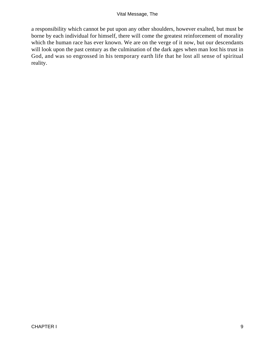## Vital Message, The

a responsibility which cannot be put upon any other shoulders, however exalted, but must be borne by each individual for himself, there will come the greatest reinforcement of morality which the human race has ever known. We are on the verge of it now, but our descendants will look upon the past century as the culmination of the dark ages when man lost his trust in God, and was so engrossed in his temporary earth life that he lost all sense of spiritual reality.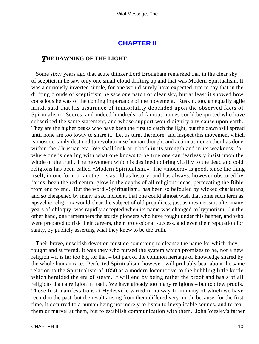# **[CHAPTER II](#page-52-0)**

#### <span id="page-10-0"></span>*T*HE **DAWNING OF THE LIGHT**

 Some sixty years ago that acute thinker Lord Brougham remarked that in the clear sky of scepticism he saw only one small cloud drifting up and that was Modern Spiritualism. It was a curiously inverted simile, for one would surely have expected him to say that in the drifting clouds of scepticism he saw one patch of clear sky, but at least it showed how conscious he was of the coming importance of the movement. Ruskin, too, an equally agile mind, said that his assurance of immortality depended upon the observed facts of Spiritualism. Scores, and indeed hundreds, of famous names could be quoted who have subscribed the same statement, and whose support would dignify any cause upon earth. They are the higher peaks who have been the first to catch the light, but the dawn will spread until none are too lowly to share it. Let us turn, therefore, and inspect this movement which is most certainly destined to revolutionise human thought and action as none other has done within the Christian era. We shall look at it both in its strength and in its weakness, for where one is dealing with what one knows to be true one can fearlessly insist upon the whole of the truth. The movement which is destined to bring vitality to the dead and cold religions has been called «Modern Spiritualism.» The «modern» is good, since the thing itself, in one form or another, is as old as history, and has always, however obscured by forms, been the red central glow in the depths of all religious ideas, permeating the Bible from end to end. But the word «Spiritualism» has been so befouled by wicked charlatans, and so cheapened by many a sad incident, that one could almost wish that some such term as «psychic religion» would clear the subject of old prejudices, just as mesmerism, after many years of obloquy, was rapidly accepted when its name was changed to hypnotism. On the other hand, one remembers the sturdy pioneers who have fought under this banner, and who were prepared to risk their careers, their professional success, and even their reputation for sanity, by publicly asserting what they knew to be the truth.

 Their brave, unselfish devotion must do something to cleanse the name for which they fought and suffered. It was they who nursed the system which promises to be, not a new religion – it is far too big for that – but part of the common heritage of knowledge shared by the whole human race. Perfected Spiritualism, however, will probably bear about the same relation to the Spiritualism of 1850 as a modern locomotive to the bubbling little kettle which heralded the era of steam. It will end by being rather the proof and basis of all religions than a religion in itself. We have already too many religions – but too few proofs. Those first manifestations at Hydesville varied in no way from many of which we have record in the past, but the result arising from them differed very much, because, for the first time, it occurred to a human being not merely to listen to inexplicable sounds, and to fear them or marvel at them, but to establish communication with them. John Wesley's father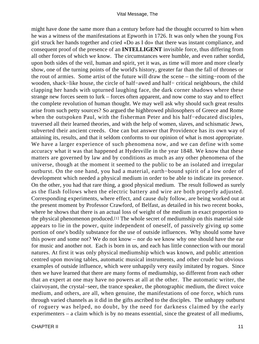might have done the same more than a century before had the thought occurred to him when he was a witness of the manifestations at Epworth in 1726. It was only when the young Fox girl struck her hands together and cried «Do as I do» that there was instant compliance, and consequent proof of the presence of an **INTELLIGENT** invisible force, thus differing from all other forces of which we know. The circumstances were humble, and even rather sordid, upon both sides of the veil, human and spirit, yet it was, as time will more and more clearly show, one of the turning points of the world's history, greater far than the fall of thrones or the rout of armies. Some artist of the future will draw the scene – the sitting−room of the wooden, shack−like house, the circle of half−awed and half− critical neighbours, the child clapping her hands with upturned laughing face, the dark corner shadows where these strange new forces seem to lurk – forces often apparent, and now come to stay and to effect the complete revolution of human thought. We may well ask why should such great results arise from such petty sources? So argued the highbrowed philosophers of Greece and Rome when the outspoken Paul, with the fisherman Peter and his half−educated disciples, traversed all their learned theories, and with the help of women, slaves, and schismatic Jews, subverted their ancient creeds. One can but answer that Providence has its own way of attaining its, results, and that it seldom conforms to our opinion of what is most appropriate. We have a larger experience of such phenomena now, and we can define with some accuracy what it was that happened at Hydesville in the year 1848. We know that these matters are governed by law and by conditions as much as any other phenomena of the universe, though at the moment it seemed to the public to be an isolated and irregular outburst. On the one hand, you had a material, earth−bound spirit of a low order of development which needed a physical medium in order to be able to indicate its presence. On the other, you had that rare thing, a good physical medium. The result followed as surely as the flash follows when the electric battery and wire are both properly adjusted. Corresponding experiments, where effect, and cause duly follow, are being worked out at the present moment by Professor Crawford, of Belfast, as detailed in his two recent books, where he shows that there is an actual loss of weight of the medium in exact proportion to the physical phenomenon produced.[1] The whole secret of mediumship on this material side appears to lie in the power, quite independent of oneself, of passively giving up some portion of one's bodily substance for the use of outside influences. Why should some have this power and some not? We do not know – nor do we know why one should have the ear for music and another not. Each is born in us, and each has little connection with our moral natures. At first it was only physical mediumship which was known, and public attention centred upon moving tables, automatic musical instruments, and other crude but obvious examples of outside influence, which were unhappily very easily imitated by rogues. Since then we have learned that there are many forms of mediumship, so different from each other that an expert at one may have no powers at all at the other. The automatic writer, the clairvoyant, the crystal−seer, the trance speaker, the photographic medium, the direct voice medium, and others, are all, when genuine, the manifestations of one force, which runs through varied channels as it did in the gifts ascribed to the disciples. The unhappy outburst of roguery was helped, no doubt, by the need for darkness claimed by the early experimenters – a claim which is by no means essential, since the greatest of all mediums,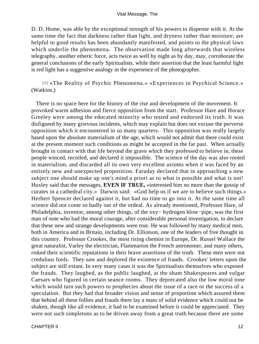D. D. Home, was able by the exceptional strength of his powers to dispense with it. At the same time the fact that darkness rather than light, and dryness rather than moisture, are helpful to good results has been abundantly manifested, and points to the physical laws which underlie the phenomena. The observation made long afterwards that wireless telegraphy, another etheric force, acts twice as well by night as by day, may, corroborate the general conclusions of the early Spiritualists, while their assertion that the least harmful light is red light has a suggestive analogy in the experience of the photographer.

[1] «The Reality of Psychic Phenomena.» «Experiences in Psychical Science.» (Watkins.)

 There is no space here for the history of the rise and development of the movement. It provoked warm adhesion and fierce opposition from the start. Professor Hare and Horace Greeley were among the educated minority who tested and endorsed its truth. It was disfigured by many grievous incidents, which may explain but does not excuse the perverse opposition which it encountered in so many quarters. This opposition was really largely based upon the absolute materialism of the age, which would not admit that there could exist at the present moment such conditions as might be accepted in the far past. When actually brought in contact with that life beyond the grave which they professed to believe in, these people winced, recoiled, and declared it impossible. The science of the day was also rooted in materialism, and discarded all its own very excellent axioms when it was faced by an entirely new and unexpected proposition. Faraday declared that in approaching a new subject one should make up one's mind a priori as to what is possible and what is not! Huxley said that the messages, **EVEN IF TRUE,** «interested him no more than the gossip of curates in a cathedral city.» Darwin said: «God help us if we are to believe such things.» Herbert Spencer declared against it, but had no time to go into it. At the same time all science did not come so badly out of the ordeal. As already mentioned, Professor Hare, of Philadelphia, inventor, among other things, of the oxy− hydrogen blow−pipe, was the first man of note who had the moral courage, after considerable personal investigation, to declare that these new and strange developments were true. He was followed by many medical men, both in America and in Britain, including Dr. Elliotson, one of the leaders of free thought in this country. Professor Crookes, the most rising chemist in Europe, Dr. Russel Wallace the great naturalist, Varley the electrician, Flammarion the French astronomer, and many others, risked their scientific reputations in their brave assertions of the truth. These men were not credulous fools. They saw and deplored the existence of frauds. Crookes' letters upon the subject are still extant. In very many cases it was the Spiritualists themselves who exposed the frauds. They laughed, as the public laughed, at the sham Shakespeares and vulgar Caesars who figured in certain seance rooms. They deprecated also the low moral tone which would turn such powers to prophecies about the issue of a race or the success of a speculation. But they had that broader vision and sense of proportion which assured them that behind all these follies and frauds there lay a mass of solid evidence which could not be shaken, though like all evidence, it had to be examined before it could be appreciated. They were not such simpletons as to be driven away from a great truth because there are some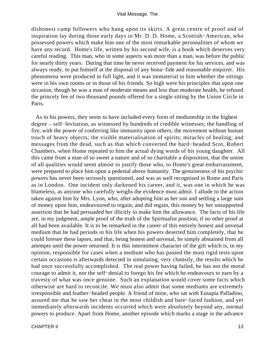dishonest camp followers who hang upon its skirts. A great centre of proof and of inspiration lay during those early days in Mr. D. D. Home, a Scottish−American, who possessed powers which make him one of the most remarkable personalities of whom we have any record. Home's life, written by his second wife, is a book which deserves very careful reading. This man, who in some aspects was more than a man, was before the public for nearly thirty years. During that time he never received payment for his services, and was always ready, to put himself at the disposal of any bona−fide and reasonable enquirer. His phenomena were produced in full light, and it was immaterial to him whether the sittings were in his own rooms or in those of his friends. So high were his principles that upon one occasion, though he was a man of moderate means and less than moderate health, he refused the princely fee of two thousand pounds offered for a single sitting by the Union Circle in Paris.

 As to his powers, they seem to have included every form of mediumship in the highest degree – self−levitation, as witnessed by hundreds of credible witnesses; the handling of fire, with the power of conferring like immunity upon others; the movement without human touch of heavy objects; the visible materialisation of spirits; miracles of healing; and messages from the dead, such as that which converted the hard−headed Scot, Robert Chambers, when Home repeated to him the actual dying words of his young daughter. All this came from a man of so sweet a nature and of so charitable a disposition, that the union of all qualities would seem almost to justify those who, to Home's great embarrassment, were prepared to place him upon a pedestal above humanity. The genuineness of his psychic powers has never been seriously questioned, and was as well recognised in Rome and Paris as in London. One incident only darkened his career, and it, was one in which he was blameless, as anyone who carefully weighs the evidence must admit. I allude to the action taken against him by Mrs. Lyon, who, after adopting him as her son and settling a large sum of money upon him, endeavoured to regain, and did regain, this money by her unsupported assertion that he had persuaded her illicitly to make him the allowance. The facts of his life are, in my judgment, ample proof of the truth of the Spiritualist position, if no other proof at all had been available. It is to be remarked in the career of this entirely honest and unvenal medium that he had periods in his life when his powers deserted him completely, that he could foresee these lapses, and that, being honest and unvenal, he simply abstained from all attempts until the power returned. It is this intermittent character of the gift which is, in my opinion, responsible for cases when a medium who has passed the most rigid tests upon certain occasions is afterwards detected in simulating, very clumsily, the results which he had once successfully accomplished. The real power having failed, he has not the moral courage to admit it, nor the self−denial to forego his fee which he endeavours to earn by a travesty of what was once genuine. Such an explanation would cover some facts which otherwise are hard to reconcile. We must also admit that some mediums are extremely irresponsible and feather−headed people. A friend of mine, who sat with Eusapia Palladino, assured me that he saw her cheat in the most childish and bare−faced fashion, and yet immediately afterwards incidents occurred which were absolutely beyond any, normal powers to produce. Apart from Home, another episode which marks a stage in the advance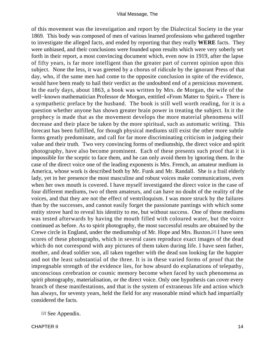of this movement was the investigation and report by the Dialectical Society in the year 1869. This body was composed of men of various learned professions who gathered together to investigate the alleged facts, and ended by reporting that they really **WERE** facts. They were unbiased, and their conclusions were founded upon results which were very soberly set forth in their report, a most convincing document which, even now in 1919, after the lapse of fifty years, is far more intelligent than the greater part of current opinion upon this subject. None the less, it was greeted by a chorus of ridicule by the ignorant Press of that day, who, if the same men had come to the opposite conclusion in spite of the evidence, would have been ready to hail their verdict as the undoubted end of a pernicious movement. In the early days, about 1863, a book was written by Mrs. de Morgan, the wife of the well−known mathematician Professor de Morgan, entitled «From Matter to Spirit.» There is a sympathetic preface by the husband. The book is still well worth reading, for it is a question whether anyone has shown greater brain power in treating the subject. In it the prophecy is made that as the movement develops the more material phenomena will decrease and their place be taken by the more spiritual, such as automatic writing. This forecast has been fulfilled, for though physical mediums still exist the other more subtle forms greatly predominate, and call for far more discriminating criticism in judging their value and their truth. Two very convincing forms of mediumship, the direct voice and spirit photography, have also become prominent. Each of these presents such proof that it is impossible for the sceptic to face them, and he can only avoid them by ignoring them. In the case of the direct voice one of the leading exponents is Mrs. French, an amateur medium in America, whose work is described both by Mr. Funk and Mr. Randall. She is a frail elderly lady, yet in her presence the most masculine and robust voices make communications, even when her own mouth is covered. I have myself investigated the direct voice in the case of four different mediums, two of them amateurs, and can have no doubt of the reality of the voices, and that they are not the effect of ventriloquism. I was more struck by the failures than by the successes, and cannot easily forget the passionate pantings with which some entity strove hard to reveal his identity to me, but without success. One of these mediums was tested afterwards by having the mouth filled with coloured water, but the voice continued as before. As to spirit photography, the most successful results are obtained by the Crewe circle in England, under the mediumship of Mr. Hope and Mrs. Buxton.[2] I have seen scores of these photographs, which in several cases reproduce exact images of the dead which do not correspond with any pictures of them taken during life. I have seen father, mother, and dead soldier son, all taken together with the dead son looking far the happier and not the least substantial of the three. It is in these varied forms of proof that the impregnable strength of the evidence lies, for how absurd do explanations of telepathy, unconscious cerebration or cosmic memory become when faced by such phenomena as spirit photography, materialisation, or the direct voice. Only one hypothesis can cover every branch of these manifestations, and that is the system of extraneous life and action which has always, for seventy years, held the field for any reasonable mind which had impartially considered the facts.

<sup>[2]</sup> See Appendix.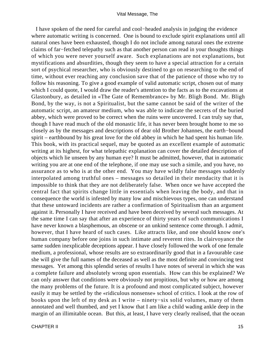I have spoken of the need for careful and cool−headed analysis in judging the evidence where automatic writing is concerned. One is bound to exclude spirit explanations until all natural ones have been exhausted, though I do not include among natural ones the extreme claims of far−fetched telepathy such as that another person can read in your thoughts things of which you were never yourself aware. Such explanations are not explanations, but mystifications and absurdities, though they seem to have a special attraction for a certain sort of psychical researcher, who is obviously destined to go on researching to the end of time, without ever reaching any conclusion save that of the patience of those who try to follow his reasoning. To give a good example of valid automatic script, chosen out of many which I could quote, I would draw the reader's attention to the facts as to the excavations at Glastonbury, as detailed in «The Gate of Remembrance» by Mr. Bligh Bond. Mr. Bligh Bond, by the way, is not a Spiritualist, but the same cannot be said of the writer of the automatic script, an amateur medium, who was able to indicate the secrets of the buried abbey, which were proved to be correct when the ruins were uncovered. I can truly say that, though I have read much of the old monastic life, it has never been brought home to me so closely as by the messages and descriptions of dear old Brother Johannes, the earth−bound spirit – earthbound by his great love for the old abbey in which he had spent his human life. This book, with its practical sequel, may be quoted as an excellent example of automatic writing at its highest, for what telepathic explanation can cover the detailed description of objects which lie unseen by any human eye? It must be admitted, however, that in automatic writing you are at one end of the telephone, if one may use such a simile, and you have, no assurance as to who is at the other end. You may have wildly false messages suddenly interpolated among truthful ones – messages so detailed in their mendacity that it is impossible to think that they are not deliberately false. When once we have accepted the central fact that spirits change little in essentials when leaving the body, and that in consequence the world is infested by many low and mischievous types, one can understand that these untoward incidents are rather a confirmation of Spiritualism than an argument against it. Personally I have received and have been deceived by several such messages. At the same time I can say that after an experience of thirty years of such communications I have never known a blasphemous, an obscene or an unkind sentence come through. I admit, however, that I have heard of such cases. Like attracts like, and one should know one's human company before one joins in such intimate and reverent rites. In clairvoyance the same sudden inexplicable deceptions appear. I have closely followed the work of one female medium, a professional, whose results are so extraordinarily good that in a favourable case she will give the full names of the deceased as well as the most definite and convincing test messages. Yet among this splendid series of results I have notes of several in which she was a complete failure and absolutely wrong upon essentials. How can this be explained? We can only answer that conditions were obviously not propitious, but why or how are among the many problems of the future. It is a profound and most complicated subject, however easily it may be settled by the «ridiculous nonsense» school of critics. I look at the row of books upon the left of my desk as I write – ninety−six solid volumes, many of them annotated and well thumbed, and yet I know that I am like a child wading ankle deep in the margin of an illimitable ocean. But this, at least, I have very clearly realised, that the ocean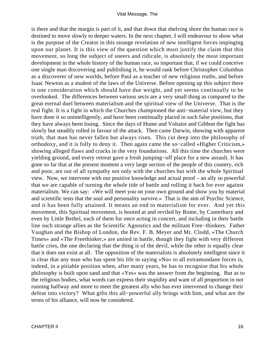is there and that the margin is part of it, and that down that shelving shore the human race is destined to move slowly to deeper waters. In the next chapter, I will endeavour to show what is the purpose of the Creator in this strange revelation of new intelligent forces impinging upon our planet. It is this view of the question which must justify the claim that this movement, so long the subject of sneers and ridicule, is absolutely the most important development in the whole history of the human race, so important that, if we could conceive one single man discovering and publishing it, he would rank before Christopher Columbus as a discoverer of new worlds, before Paul as a teacher of new religious truths, and before Isaac Newton as a student of the laws of the Universe. Before opening up this subject there is one consideration which should have due weight, and yet seems continually to be overlooked. The differences between various sects are a very small thing as compared to the great eternal duel between materialism and the spiritual view of the Universe. That is the real fight. It is a fight in which the Churches championed the anti−material view, but they have done it so unintelligently, and have been continually placed in such false positions, that they have always been losing. Since the days of Hume and Voltaire and Gibbon the fight has slowly but steadily rolled in favour of the attack. Then came Darwin, showing with apparent truth, that man has never fallen but always risen. This cut deep into the philosophy of orthodoxy, and it is folly to deny it. Then again came the so−called «Higher Criticism,» showing alleged flaws and cracks in the very foundations. All this time the churches were yielding ground, and every retreat gave a fresh jumping−off place for a new assault. It has gone so far that at the present moment a very large section of the people of this country, rich and poor, are out of all sympathy not only with the churches but with the whole Spiritual view. Now, we intervene with our positive knowledge and actual proof – an ally so powerful that we are capable of turning the whole tide of battle and rolling it back for ever against materialism. We can say: «We will meet you on your own ground and show you by material and scientific tests that the soul and personality survive.» That is the aim of Psychic Science, and it has been fully attained. It means an end to materialism for ever. And yet this movement, this Spiritual movement, is hooted at and reviled by Rome, by Canterbury and even by Little Bethel, each of them for once acting in concert, and including in their battle line such strange allies as the Scientific Agnostics and the militant Free−thinkers. Father Vaughan and the Bishop of London, the Rev. F. B. Meyer and Mr. Clodd, «The Church Times» and «The Freethinker,» are united in battle, though they fight with very different battle cries, the one declaring that the thing is of the devil, while the other is equally clear that it does not exist at all. The opposition of the materialists is absolutely intelligent since it is clear that any man who has spent his life in saying «No» to all extramundane forces is, indeed, in a pitiable position when, after many years, he has to recognise that his whole philosophy is built upon sand and that «Yes» was the answer from the beginning. But as to the religious bodies, what words can express their stupidity and want of all proportion in not running halfway and more to meet the greatest ally who has ever intervened to change their defeat into victory? What gifts this all−powerful ally brings with him, and what are the terms of his alliance, will now be considered.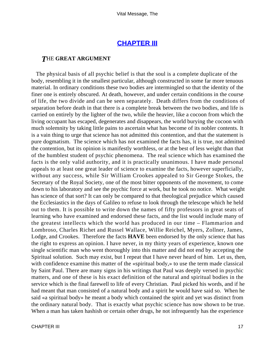# **[CHAPTER III](#page-52-0)**

#### <span id="page-17-0"></span>*T*HE **GREAT ARGUMENT**

 The physical basis of all psychic belief is that the soul is a complete duplicate of the body, resembling it in the smallest particular, although constructed in some far more tenuous material. In ordinary conditions these two bodies are intermingled so that the identity of the finer one is entirely obscured. At death, however, and under certain conditions in the course of life, the two divide and can be seen separately. Death differs from the conditions of separation before death in that there is a complete break between the two bodies, and life is carried on entirely by the lighter of the two, while the heavier, like a cocoon from which the living occupant has escaped, degenerates and disappears, the world burying the cocoon with much solemnity by taking little pains to ascertain what has become of its nobler contents. It is a vain thing to urge that science has not admitted this contention, and that the statement is pure dogmatism. The science which has not examined the facts has, it is true, not admitted the contention, but its opinion is manifestly worthless, or at the best of less weight than that of the humblest student of psychic phenomena. The real science which has examined the facts is the only valid authority, and it is practically unanimous. I have made personal appeals to at least one great leader of science to examine the facts, however superficially, without any success, while Sir William Crookes appealed to Sir George Stokes, the Secretary of the Royal Society, one of the most bitter opponents of the movement, to come down to his laboratory and see the psychic force at work, but he took no notice. What weight has science of that sort? It can only be compared to that theological prejudice which caused the Ecclesiastics in the days of Galileo to refuse to look through the telescope which he held out to them. It is possible to write down the names of fifty professors in great seats of learning who have examined and endorsed these facts, and the list would include many of the greatest intellects which the world has produced in our time – Flammarion and Lombroso, Charles Richet and Russel Wallace, Willie Reichel, Myers, Zollner, James, Lodge, and Crookes. Therefore the facts **HAVE** been endorsed by the only science that has the right to express an opinion. I have never, in my thirty years of experience, known one single scientific man who went thoroughly into this matter and did not end by accepting the Spiritual solution. Such may exist, but I repeat that I have never heard of him. Let us, then, with confidence examine this matter of the «spiritual body,» to use the term made classical by Saint Paul. There are many signs in his writings that Paul was deeply versed in psychic matters, and one of these is his exact definition of the natural and spiritual bodies in the service which is the final farewell to life of every Christian. Paul picked his words, and if he had meant that man consisted of a natural body and a spirit he would have said so. When he said «a spiritual body» he meant a body which contained the spirit and yet was distinct from the ordinary natural body. That is exactly what psychic science has now shown to be true. When a man has taken hashish or certain other drugs, he not infrequently has the experience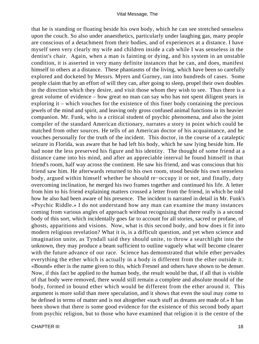that he is standing or floating beside his own body, which he can see stretched senseless upon the couch. So also under anaesthetics, particularly under laughing gas, many people are conscious of a detachment from their bodies, and of experiences at a distance. I have myself seen very clearly my wife and children inside a cab while I was senseless in the dentist's chair. Again, when a man is fainting or dying, and his system in an unstable condition, it is asserted in very many definite instances that he can, and does, manifest himself to others at a distance. These phantasms of the living, which have been so carefully explored and docketed by Messrs. Myers and Gurney, ran into hundreds of cases. Some people claim that by an effort of will they can, after going to sleep, propel their own doubles in the direction which they desire, and visit those whom they wish to see. Thus there is a great volume of evidence – how great no man can say who has not spent diligent years in exploring it – which vouches for the existence of this finer body containing the precious jewels of the mind and spirit, and leaving only gross confused animal functions in its heavier companion. Mr. Funk, who is a critical student of psychic phenomena, and also the joint compiler of the standard American dictionary, narrates a story in point which could be matched from other sources. He tells of an American doctor of his acquaintance, and he vouches personally for the truth of the incident. This doctor, in the course of a cataleptic seizure in Florida, was aware that he had left his body, which he saw lying beside him. He had none the less preserved his figure and his identity. The thought of some friend at a distance came into his mind, and after an appreciable interval he found himself in that friend's room, half way across the continent. He saw his friend, and was conscious that his friend saw him. He afterwards returned to his own room, stood beside his own senseless body, argued within himself whether he should re−occupy it or not, and finally, duty overcoming inclination, he merged his two frames together and continued his life. A letter from him to his friend explaining matters crossed a letter from the friend, in which he told how he also had been aware of his presence. The incident is narrated in detail in Mr. Funk's «Psychic Riddle.» I do not understand how any man can examine the many instances coming from various angles of approach without recognising that there really is a second body of this sort, which incidentally goes far to account for all stories, sacred or profane, of ghosts, apparitions and visions. Now, what is this second body, and how does it fit into modern religious revelation? What it is, is a difficult question, and yet when science and imagination unite, as Tyndall said they should unite, to throw a searchlight into the unknown, they may produce a beam sufficient to outline vaguely what will become clearer with the future advance of our race. Science has demonstrated that while ether pervades everything the ether which is actually in a body is different from the ether outside it. «Bound» ether is the name given to this, which Fresnel and others have shown to be denser. Now, if this fact be applied to the human body, the result would be that, if all that is visible of that body were removed, there would still remain a complete and absolute mould of the body, formed in bound ether which would be different from the ether around it. This argument is more solid than mere speculation, and it shows that even the soul may come to be defined in terms of matter and is not altogether «such stuff as dreams are made of.» It has been shown that there is some good evidence for the existence of this second body apart from psychic religion, but to those who have examined that religion it is the centre of the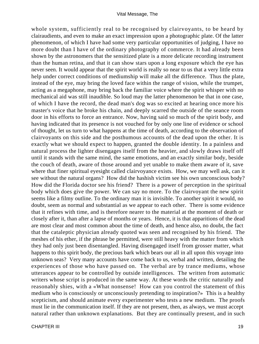whole system, sufficiently real to be recognised by clairvoyants, to be heard by clairaudients, and even to make an exact impression upon a photographic plate. Of the latter phenomenon, of which I have had some very particular opportunities of judging, I have no more doubt than I have of the ordinary photography of commerce. It had already been shown by the astronomers that the sensitized plate is a more delicate recording instrument than the human retina, and that it can show stars upon a long exposure which the eye has never seen. It would appear that the spirit world is really so near to us that a very little extra help under correct conditions of mediumship will make all the difference. Thus the plate, instead of the eye, may bring the loved face within the range of vision, while the trumpet, acting as a megaphone, may bring back the familiar voice where the spirit whisper with no mechanical aid was still inaudible. So loud may the latter phenomenon be that in one case, of which I have the record, the dead man's dog was so excited at hearing once more his master's voice that he broke his chain, and deeply scarred the outside of the seance room door in his efforts to force an entrance. Now, having said so much of the spirit body, and having indicated that its presence is not vouched for by only one line of evidence or school of thought, let us turn to what happens at the time of death, according to the observation of clairvoyants on this side and the posthumous accounts of the dead upon the other. It is exactly what we should expect to happen, granted the double identity. In a painless and natural process the lighter disengages itself from the heavier, and slowly draws itself off until it stands with the same mind, the same emotions, and an exactly similar body, beside the couch of death, aware of those around and yet unable to make them aware of it, save where that finer spiritual eyesight called clairvoyance exists. How, we may well ask, can it see without the natural organs? How did the hashish victim see his own unconscious body? How did the Florida doctor see his friend? There is a power of perception in the spiritual body which does give the power. We can say no more. To the clairvoyant the new spirit seems like a filmy outline. To the ordinary man it is invisible. To another spirit it would, no doubt, seem as normal and substantial as we appear to each other. There is some evidence that it refines with time, and is therefore nearer to the material at the moment of death or closely after it, than after a lapse of months or years. Hence, it is that apparitions of the dead are most clear and most common about the time of death, and hence also, no doubt, the fact that the cataleptic physician already quoted was seen and recognised by his friend. The meshes of his ether, if the phrase be permitted, were still heavy with the matter from which they had only just been disentangled. Having disengaged itself from grosser matter, what happens to this spirit body, the precious bark which bears our all in all upon this voyage into unknown seas? Very many accounts have come back to us, verbal and written, detailing the experiences of those who have passed on. The verbal are by trance mediums, whose utterances appear to be controlled by outside intelligences. The written from automatic writers whose script is produced in the same way. At these words the critic naturally and reasonably shies, with a «What nonsense! How can you control the statement of this medium who is consciously or unconsciously pretending to inspiration?» This is a healthy scepticism, and should animate every experimenter who tests a new medium. The proofs must lie in the communication itself. If they are not present, then, as always, we must accept natural rather than unknown explanations. But they are continually present, and in such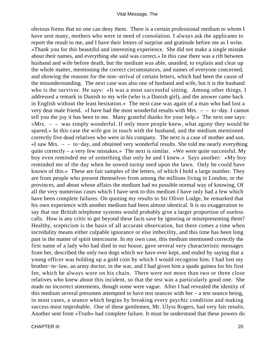obvious forms that no one can deny them. There is a certain professional medium to whom I have sent many, mothers who were in need of consolation. I always ask the applicants to report the result to me, and I have their letters of surprise and gratitude before me as I write. «Thank you for this beautiful and interesting experience. She did not make a single mistake about their names, and everything she said was correct.» In this case there was a rift between husband and wife before death, but the medium was able, unaided, to explain and clear up the whole matter, mentioning the correct circumstances, and names of everyone concerned, and showing the reasons for the non−arrival of certain letters, which had been the cause of the misunderstanding. The next case was also one of husband and wife, but it is the husband who is the survivor. He says: «It was a most successful sitting. Among other things, I addressed a remark in Danish to my wife (who is a Danish girl), and the answer came back in English without the least hesitation.» The next case was again of a man who had lost a very dear male friend. «I have had the most wonderful results with Mrs. – – to−day. I cannot tell you the joy it has been to me. Many grateful thanks for your help.» The next one says:  $\kappa$ Mrs. – – was simply wonderful. If only more people knew, what agony they would be spared.» In this case the wife got in touch with the husband, and the medium mentioned correctly five dead relatives who were in his company. The next is a case of mother and son. «I saw Mrs. – – to−day, and obtained very wonderful results. She told me nearly everything quite correctly – a very few mistakes.» The next is similar. «We were quite successful. My boy even reminded me of something that only he and I knew.» Says another: «My boy reminded me of the day when he sowed turnip seed upon the lawn. Only he could have known of this.» These are fair samples of the letters, of which I hold a large number. They are from people who present themselves from among the millions living in London, or the provinces, and about whose affairs the medium had no possible normal way of knowing. Of all the very numerous cases which I have sent to this medium I have only had a few which have been complete failures. On quoting my results to Sir Oliver Lodge, he remarked that his own experience with another medium had been almost identical. It is no exaggeration to say that our British telephone systems would probably give a larger proportion of useless calls. How is any critic to get beyond these facts save by ignoring or misrepresenting them? Healthy, scepticism is the basis of all accurate observation, but there comes a time when incredulity means either culpable ignorance or else imbecility, and this time has been long past in the matter of spirit intercourse. In my own case, this medium mentioned correctly the first name of a lady who had died in our house, gave several very characteristic messages from her, described the only two dogs which we have ever kept, and ended by saying that a young officer was holding up a gold coin by which I would recognise him. I had lost my brother−in−law, an army doctor, in the war, and I had given him a spade guinea for his first fee, which he always wore on his chain. There were not more than two or three close relatives who knew about this incident, so that the test was a particularly good one. She made no incorrect statements, though some were vague. After I had revealed the identity of this medium several pressmen attempted to have test seances with her – a test seance being, in most cases, a seance which begins by breaking every psychic condition and making success most improbable. One of these gentlemen, Mr. Ulyss Rogers, had very fair results. Another sent from «Truth» had complete failure. It must be understood that these powers do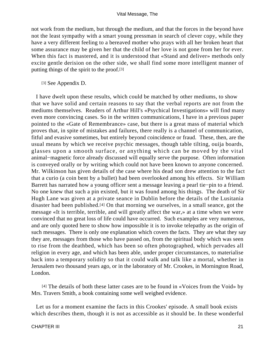#### Vital Message, The

not work from the medium, but through the medium, and that the forces in the beyond have not the least sympathy with a smart young pressman in search of clever copy, while they have a very different feeling to a bereaved mother who prays with all her broken heart that some assurance may be given her that the child of her love is not gone from her for ever. When this fact is mastered, and it is understood that «Stand and deliver» methods only excite gentle derision on the other side, we shall find some more intelligent manner of putting things of the spirit to the proof.[3]

[3] See Appendix D.

 I have dwelt upon these results, which could be matched by other mediums, to show that we have solid and certain reasons to say that the verbal reports are not from the mediums themselves. Readers of Arthur Hill's «Psychical Investigations» will find many even more convincing cases. So in the written communications, I have in a previous paper pointed to the «Gate of Remembrance» case, but there is a great mass of material which proves that, in spite of mistakes and failures, there really is a channel of communication, fitful and evasive sometimes, but entirely beyond coincidence or fraud. These, then, are the usual means by which we receive psychic messages, though table tilting, ouija boards, glasses upon a smooth surface, or anything which can be moved by the vital animal−magnetic force already discussed will equally serve the purpose. Often information is conveyed orally or by writing which could not have been known to anyone concerned. Mr. Wilkinson has given details of the case where his dead son drew attention to the fact that a curio (a coin bent by a bullet) had been overlooked among his effects. Sir William Barrett has narrated how a young officer sent a message leaving a pearl tie−pin to a friend. No one knew that such a pin existed, but it was found among his things. The death of Sir Hugh Lane was given at a private seance in Dublin before the details of the Lusitania disaster had been published.[4] On that morning we ourselves, in a small seance, got the message «It is terrible, terrible, and will greatly affect the war,» at a time when we were convinced that no great loss of life could have occurred. Such examples are very numerous, and are only quoted here to show how impossible it is to invoke telepathy as the origin of such messages. There is only one explanation which covers the facts. They are what they say they are, messages from those who have passed on, from the spiritual body which was seen to rise from the deathbed, which has been so often photographed, which pervades all religion in every age, and which has been able, under proper circumstances, to materialise back into a temporary solidity so that it could walk and talk like a mortal, whether in Jerusalem two thousand years ago, or in the laboratory of Mr. Crookes, in Mornington Road, London.

[4] The details of both these latter cases are to be found in «Voices from the Void» by Mrs. Travers Smith, a book containing some well weighed evidence.

 Let us for a moment examine the facts in this Crookes' episode. A small book exists which describes them, though it is not as accessible as it should be. In these wonderful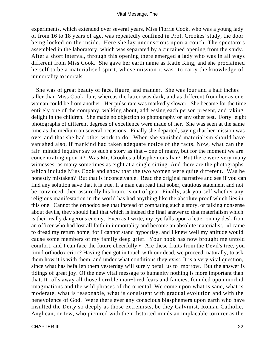experiments, which extended over several years, Miss Florrie Cook, who was a young lady of from 16 to 18 years of age, was repeatedly confined in Prof. Crookes' study, the door being locked on the inside. Here she lay unconscious upon a couch. The spectators assembled in the laboratory, which was separated by a curtained opening from the study. After a short interval, through this opening there emerged a lady who was in all ways different from Miss Cook. She gave her earth name as Katie King, and she proclaimed herself to be a materialised spirit, whose mission it was "to carry the knowledge of immortality to mortals.

 She was of great beauty of face, figure, and manner. She was four and a half inches taller than Miss Cook, fair, whereas the latter was dark, and as different from her as one woman could be from another. Her pulse rate was markedly slower. She became for the time entirely one of the company, walking about, addressing each person present, and taking delight in the children. She made no objection to photography or any other test. Forty−eight photographs of different degrees of excellence were made of her. She was seen at the same time as the medium on several occasions. Finally she departed, saying that her mission was over and that she had other work to do. When she vanished materialism should have vanished also, if mankind had taken adequate notice of the facts. Now, what can the fair−minded inquirer say to such a story as that – one of many, but for the moment we are concentrating upon it? Was Mr. Crookes a blasphemous liar? But there were very many witnesses, as many sometimes as eight at a single sitting. And there are the photographs which include Miss Cook and show that the two women were quite different. Was he honestly mistaken? But that is inconceivable. Read the original narrative and see if you can find any solution save that it is true. If a man can read that sober, cautious statement and not be convinced, then assuredly his brain, is out of gear. Finally, ask yourself whether any religious manifestation in the world has had anything like the absolute proof which lies in this one. Cannot the orthodox see that instead of combating such a story, or talking nonsense about devils, they should hail that which is indeed the final answer to that materialism which is their really dangerous enemy. Even as I write, my eye falls upon a letter on my desk from an officer who had lost all faith in immortality and become an absolute materialist. «I came to dread my return home, for I cannot stand hypocrisy, and I knew well my attitude would cause some members of my family deep grief. Your book has now brought me untold comfort, and I can face the future cheerfully.» Are these fruits from the Devil's tree, you timid orthodox critic? Having then got in touch with our dead, we proceed, naturally, to ask them how it is with them, and under what conditions they exist. It is a very vital question, since what has befallen them yesterday will surely befall us to−morrow. But the answer is tidings of great joy. Of the new vital message to humanity nothing is more important than that. It rolls away all those horrible man−bred fears and fancies, founded upon morbid imaginations and the wild phrases of the oriental. We come upon what is sane, what is moderate, what is reasonable, what is consistent with gradual evolution and with the benevolence of God. Were there ever any conscious blasphemers upon earth who have insulted the Deity so deeply as those extremists, be they Calvinist, Roman Catholic, Anglican, or Jew, who pictured with their distorted minds an implacable torturer as the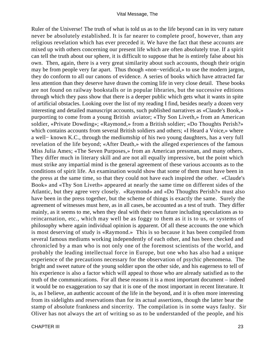Ruler of the Universe! The truth of what is told us as to the life beyond can in its very nature never be absolutely established. It is far nearer to complete proof, however, than any religious revelation which has ever preceded it. We have the fact that these accounts are mixed up with others concerning our present life which are often absolutely true. If a spirit can tell the truth about our sphere, it is difficult to suppose that he is entirely false about his own. Then, again, there is a very great similarity about such accounts, though their origin may be from people very far apart. Thus though «non−veridical,» to use the modern jargon, they do conform to all our canons of evidence. A series of books which have attracted far less attention than they deserve have drawn the coming life in very close detail. These books are not found on railway bookstalls or in popular libraries, but the successive editions through which they pass show that there is a deeper public which gets what it wants in spite of artificial obstacles. Looking over the list of my reading I find, besides nearly a dozen very interesting and detailed manuscript accounts, such published narratives as «Claude's Book,» purporting to come from a young British aviator; «Thy Son Liveth,» from an American soldier, «Private Dowding»; «Raymond,» from a British soldier; «Do Thoughts Perish?» which contains accounts from several British soldiers and others; «I Heard a Voice,» where a well− known K.C., through the mediumship of his two young daughters, has a very full revelation of the life beyond; «After Death,» with the alleged experiences of the famous Miss Julia Ames; «The Seven Purposes,» from an American pressman, and many others. They differ much in literary skill and are not all equally impressive, but the point which must strike any impartial mind is the general agreement of these various accounts as to the conditions of spirit life. An examination would show that some of them must have been in the press at the same time, so that they could not have each inspired the other. «Claude's Book» and «Thy Son Liveth» appeared at nearly the same time on different sides of the Atlantic, but they agree very closely. «Raymond» and «Do Thoughts Perish?» must also have been in the press together, but the scheme of things is exactly the same. Surely the agreement of witnesses must here, as in all cases, be accounted as a test of truth. They differ mainly, as it seems to me, when they deal with their own future including speculations as to reincarnation, etc., which may well be as foggy to them as it is to us, or systems of philosophy where again individual opinion is apparent. Of all these accounts the one which is most deserving of study is «Raymond.» This is so because it has been compiled from several famous mediums working independently of each other, and has been checked and chronicled by a man who is not only one of the foremost scientists of the world, and probably the leading intellectual force in Europe, but one who has also had a unique experience of the precautions necessary for the observation of psychic phenomena. The bright and sweet nature of the young soldier upon the other side, and his eagerness to tell of his experience is also a factor which will appeal to those who are already satisfied as to the truth of the communications. For all these reasons it is a most important document – indeed it would be no exaggeration to say that it is one of the most important in recent literature. It is, as I believe, an authentic account of the life in the beyond, and it is often more interesting from its sidelights and reservations than for its actual assertions, though the latter bear the stamp of absolute frankness and sincerity. The compilation is in some ways faulty. Sir Oliver has not always the art of writing so as to be understanded of the people, and his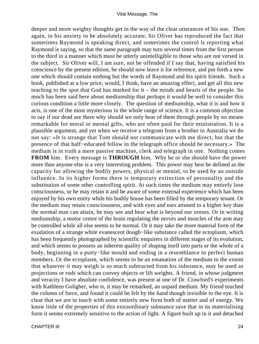deeper and more weighty thoughts get in the way of the clear utterances of his son. Then again, in his anxiety to be absolutely accurate, Sir Oliver has reproduced the fact that sometimes Raymond is speaking direct, and sometimes the control is reporting what Raymond is saying, so that the same paragraph may turn several times from the first person to the third in a manner which must be utterly unintelligible to those who are not versed in the subject. Sir Oliver will, I am sure, not be offended if I say that, having satisfied his conscience by the present edition, he should now leave it for reference, and put forth a new one which should contain nothing but the words of Raymond and his spirit friends. Such a book, published at a low price, would, I think, have an amazing effect, and get all this new teaching to the spot that God has marked for it – the minds and hearts of the people. So much has been said here about mediumship that perhaps it would be well to consider this curious condition a little more closely. The question of mediumship, what it is and how it acts, is one of the most mysterious in the whole range of science. It is a common objection to say if our dead are there why should we only hear of them through people by no means remarkable for moral or mental gifts, who are often paid for their ministration. It is a plausible argument, and yet when we receive a telegram from a brother in Australia we do not say: «It is strange that Tom should not communicate with me direct, but that the presence of that half−educated fellow in the telegraph office should be necessary.» The medium is in truth a mere passive machine, clerk and telegraph in one. Nothing comes **FROM** him. Every message is **THROUGH** him. Why he or she should have the power more than anyone else is a very interesting problem. This power may best be defined as the capacity for allowing the bodily powers, physical or mental, to be used by an outside influence. In its higher forms there is temporary extinction of personality and the substitution of some other controlling spirit. At such times the medium may entirely lose consciousness, or he may retain it and be aware of some external experience which has been enjoyed by his own entity while his bodily house has been filled by the temporary tenant. Or the medium may retain consciousness, and with eyes and ears attuned to a higher key than the normal man can attain, he may see and hear what is beyond our senses. Or in writing mediumship, a motor centre of the brain regulating the nerves and muscles of the arm may be controlled while all else seems to be normal. Or it may take the more material form of the exudation of a strange white evanescent dough−like substance called the ectoplasm, which has been frequently photographed by scientific enquirers in different stages of its evolution, and which seems to possess an inherent quality of shaping itself into parts or the whole of a body, beginning in a putty−like mould and ending in a resemblance to perfect human members. Or the ectoplasm, which seems to be an emanation of the medium to the extent that whatever it may weigh is so much subtracted from his substance, may be used as projections or rods which can convey objects or lift weights. A friend, in whose judgment and veracity I have absolute confidence, was present at one of Dr. Crawford's experiments with Kathleen Goligher, who is, it may be remarked, an unpaid medium. My friend touched the column of force, and found it could be felt by the hand though invisible to the eye. It is clear that we are in touch with some entirely new form both of matter and of energy. We know little of the properties of this extraordinary substance save that in its materialising form it seems extremely sensitive to the action of light. A figure built up in it and detached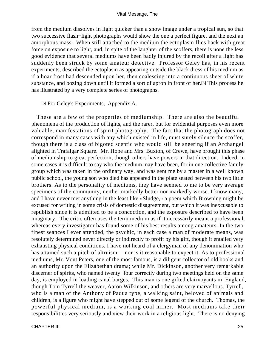#### Vital Message, The

from the medium dissolves in light quicker than a snow image under a tropical sun, so that two successive flash−light photographs would show the one a perfect figure, and the next an amorphous mass. When still attached to the medium the ectoplasm flies back with great force on exposure to light, and, in spite of the laughter of the scoffers, there is none the less good evidence that several mediums have been badly injured by the recoil after a light has suddenly been struck by some amateur detective. Professor Geley has, in his recent experiments, described the ectoplasm as appearing outside the black dress of his medium as if a hoar frost had descended upon her, then coalescing into a continuous sheet of white substance, and oozing down until it formed a sort of apron in front of her.[5] This process he has illustrated by a very complete series of photographs.

#### [5] For Geley's Experiments, Appendix A.

 These are a few of the properties of mediumship. There are also the beautiful phenomena of the production of lights, and the rarer, but for evidential purposes even more valuable, manifestations of spirit photography. The fact that the photograph does not correspond in many cases with any which existed in life, must surely silence the scoffer, though there is a class of bigoted sceptic who would still be sneering if an Archangel alighted in Trafalgar Square. Mr. Hope and Mrs. Buxton, of Crewe, have brought this phase of mediumship to great perfection, though others have powers in that direction. Indeed, in some cases it is difficult to say who the medium may have been, for in one collective family group which was taken in the ordinary way, and was sent me by a master in a well known public school, the young son who died has appeared in the plate seated between his two little brothers. As to the personality of mediums, they have seemed to me to be very average specimens of the community, neither markedly better nor markedly worse. I know many, and I have never met anything in the least like «Sludge,» a poem which Browning might be excused for writing in some crisis of domestic disagreement, but which it was inexcusable to republish since it is admitted to be a concoction, and the exposure described to have been imaginary. The critic often uses the term medium as if it necessarily meant a professional, whereas every investigator has found some of his best results among amateurs. In the two finest seances I ever attended, the psychic, in each case a man of moderate means, was resolutely determined never directly or indirectly to profit by his gift, though it entailed very exhausting physical conditions. I have not heard of a clergyman of any denomination who has attained such a pitch of altruism – nor is it reasonable to expect it. As to professional mediums, Mr. Vout Peters, one of the most famous, is a diligent collector of old books and an authority upon the Elizabethan drama; while Mr. Dickinson, another very remarkable discerner of spirits, who named twenty−four correctly during two meetings held on the same day, is employed in loading canal barges. This man is one gifted clairvoyants in England, though Tom Tyrrell the weaver, Aaron Wilkinson, and others are very marvellous. Tyrrell, who is a man of the Anthony of Padua type, a walking saint, beloved of animals and children, is a figure who might have stepped out of some legend of the church. Thomas, the powerful physical medium, is a working coal miner. Most mediums take their responsibilities very seriously and view their work in a religious light. There is no denying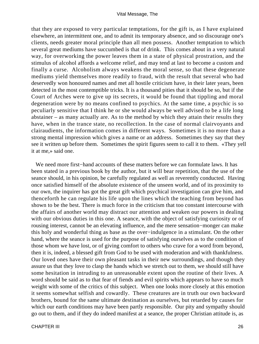that they are exposed to very particular temptations, for the gift is, as I have explained elsewhere, an intermittent one, and to admit its temporary absence, and so discourage one's clients, needs greater moral principle than all men possess. Another temptation to which several great mediums have succumbed is that of drink. This comes about in a very natural way, for overworking the power leaves them in a state of physical prostration, and the stimulus of alcohol affords a welcome relief, and may tend at last to become a custom and finally a curse. Alcoholism always weakens the moral sense, so that these degenerate mediums yield themselves more readily to fraud, with the result that several who had deservedly won honoured names and met all hostile criticism have, in their later years, been detected in the most contemptible tricks. It is a thousand pities that it should be so, but if the Court of Arches were to give up its secrets, it would be found that tippling and moral degeneration were by no means confined to psychics. At the same time, a psychic is so peculiarly sensitive that I think he or she would always be well advised to be a life long abstainer – as many actually are. As to the method by which they attain their results they have, when in the trance state, no recollection. In the case of normal clairvoyants and clairaudients, the information comes in different ways. Sometimes it is no more than a strong mental impression which gives a name or an address. Sometimes they say that they see it written up before them. Sometimes the spirit figures seem to call it to them. «They yell it at me,» said one.

 We need more first−hand accounts of these matters before we can formulate laws. It has been stated in a previous book by the author, but it will bear repetition, that the use of the seance should, in his opinion, be carefully regulated as well as reverently conducted. Having once satisfied himself of the absolute existence of the unseen world, and of its proximity to our own, the inquirer has got the great gift which psychical investigation can give him, and thenceforth he can regulate his life upon the lines which the teaching from beyond has shown to be the best. There is much force in the criticism that too constant intercourse with the affairs of another world may distract our attention and weaken our powers in dealing with our obvious duties in this one. A seance, with the object of satisfying curiosity or of rousing interest, cannot be an elevating influence, and the mere sensation−monger can make this holy and wonderful thing as base as the over−indulgence in a stimulant. On the other hand, where the seance is used for the purpose of satisfying ourselves as to the condition of those whom we have lost, or of giving comfort to others who crave for a word from beyond, then it is, indeed, a blessed gift from God to be used with moderation and with thankfulness. Our loved ones have their own pleasant tasks in their new surroundings, and though they assure us that they love to clasp the hands which we stretch out to them, we should still have some hesitation in intruding to an unreasonable extent upon the routine of their lives. A word should be said as to that fear of fiends and evil spirits which appears to have so much weight with some of the critics of this subject. When one looks more closely at this emotion it seems somewhat selfish and cowardly. These creatures are in truth our own backward brothers, bound for the same ultimate destination as ourselves, but retarded by causes for which our earth conditions may have been partly responsible. Our pity and sympathy should go out to them, and if they do indeed manifest at a seance, the proper Christian attitude is, as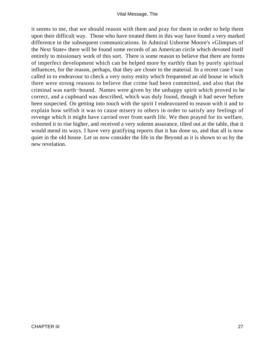it seems to me, that we should reason with them and pray for them in order to help them upon their difficult way. Those who have treated them in this way have found a very marked difference in the subsequent communications. In Admiral Usborne Moore's «Glimpses of the Next State» there will be found some records of an American circle which devoted itself entirely to missionary work of this sort. There is some reason to believe that there are forms of imperfect development which can be helped more by earthly than by purely spiritual influences, for the reason, perhaps, that they are closer to the material. In a recent case I was called in to endeavour to check a very noisy entity which frequented an old house in which there were strong reasons to believe that crime had been committed, and also that the criminal was earth−bound. Names were given by the unhappy spirit which proved to be correct, and a cupboard was described, which was duly found, though it had never before been suspected. On getting into touch with the spirit I endeavoured to reason with it and to explain how selfish it was to cause misery to others in order to satisfy any feelings of revenge which it might have carried over from earth life. We then prayed for its welfare, exhorted it to rise higher, and received a very solemn assurance, tilted out at the table, that it would mend its ways. I have very gratifying reports that it has done so, and that all is now quiet in the old house. Let us now consider the life in the Beyond as it is shown to us by the new revelation.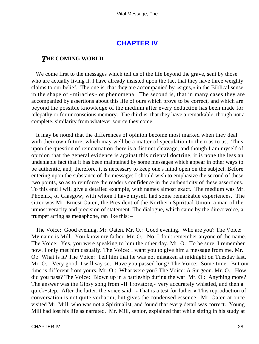# **[CHAPTER IV](#page-52-0)**

## <span id="page-28-0"></span>*T*HE **COMING WORLD**

We come first to the messages which tell us of the life beyond the grave, sent by those who are actually living it. I have already insisted upon the fact that they have three weighty claims to our belief. The one is, that they are accompanied by «signs,» in the Biblical sense, in the shape of «miracles» or phenomena. The second is, that in many cases they are accompanied by assertions about this life of ours which prove to be correct, and which are beyond the possible knowledge of the medium after every deduction has been made for telepathy or for unconscious memory. The third is, that they have a remarkable, though not a complete, similarity from whatever source they come.

 It may be noted that the differences of opinion become most marked when they deal with their own future, which may well be a matter of speculation to them as to us. Thus, upon the question of reincarnation there is a distinct cleavage, and though I am myself of opinion that the general evidence is against this oriental doctrine, it is none the less an undeniable fact that it has been maintained by some messages which appear in other ways to be authentic, and, therefore, it is necessary to keep one's mind open on the subject. Before entering upon the substance of the messages I should wish to emphasize the second of these two points, so as to reinforce the reader's confidence in the authenticity of these assertions. To this end I will give a detailed example, with names almost exact. The medium was Mr. Phoenix, of Glasgow, with whom I have myself had some remarkable experiences. The sitter was Mr. Ernest Oaten, the President of the Northern Spiritual Union, a man of the utmost veracity and precision of statement. The dialogue, which came by the direct voice, a trumpet acting as megaphone, ran like this: –

 The Voice: Good evening, Mr. Oaten. Mr. O.: Good evening. Who are you? The Voice: My name is Mill. You know my father. Mr. O.: No, I don't remember anyone of the name. The Voice: Yes, you were speaking to him the other day. Mr. O.: To be sure. I remember now. I only met him casually. The Voice: I want you to give him a message from me. Mr. O.: What is it? The Voice: Tell him that he was not mistaken at midnight on Tuesday last. Mr. O.: Very good. I will say so. Have you passed long? The Voice: Some time. But our time is different from yours. Mr. O.: What were you? The Voice: A Surgeon. Mr. O.: How did you pass? The Voice: Blown up in a battleship during the war. Mr. O.: Anything more? The answer was the Gipsy song from «Il Trovatore,» very accurately whistled, and then a quick−step. After the latter, the voice said: «That is a test for father.» This reproduction of conversation is not quite verbatim, but gives the condensed essence. Mr. Oaten at once visited Mr. Mill, who was not a Spiritualist, and found that every detail was correct. Young Mill had lost his life as narrated. Mr. Mill, senior, explained that while sitting in his study at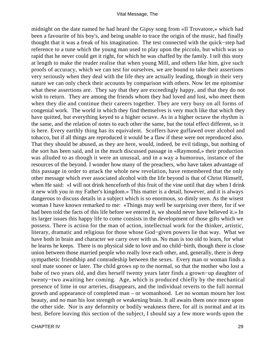midnight on the date named he had heard the Gipsy song from «Il Trovatore,» which had been a favourite of his boy's, and being unable to trace the origin of the music, had finally thought that it was a freak of his imagination. The test connected with the quick−step had reference to a tune which the young man used to play upon the piccolo, but which was so rapid that he never could get it right, for which he was chaffed by the family. I tell this story at length to make the reader realise that when young Mill, and others like him, give such proofs of accuracy, which we can test for ourselves, we are bound to take their assertions very seriously when they deal with the life they are actually leading, though in their very nature we can only check their accounts by comparison with others. Now let me epitomise what these assertions are. They say that they are exceedingly happy, and that they do not wish to return. They are among the friends whom they had loved and lost, who meet them when they die and continue their careers together. They are very busy on all forms of congenial work. The world in which they find themselves is very much like that which they have quitted, but everything keyed to a higher octave. As in a higher octave the rhythm is the same, and the relation of notes to each other the same, but the total effect different, so it is here. Every earthly thing has its equivalent. Scoffers have guffawed over alcohol and tobacco, but if all things are reproduced it would be a flaw if these were not reproduced also. That they should be abused, as they are here, would, indeed, be evil tidings, but nothing of the sort has been said, and in the much discussed passage in «Raymond,» their production was alluded to as though it were an unusual, and in a way a humorous, instance of the resources of the beyond. I wonder how many of the preachers, who have taken advantage of this passage in order to attack the whole new revelation, have remembered that the only other message which ever associated alcohol with the life beyond is that of Christ Himself, when He said: «I will not drink henceforth of this fruit of the vine until that day when I drink it new with you in my Father's kingdom.» This matter is a detail, however, and it is always dangerous to discuss details in a subject which is so enormous, so dimly seen. As the wisest woman I have known remarked to me: «Things may well be surprising over there, for if we had been told the facts of this life before we entered it, we should never have believed it.» In its larger issues this happy life to come consists in the development of those gifts which we possess. There is action for the man of action, intellectual work for the thinker, artistic, literary, dramatic and religious for those whose God−given powers lie that way. What we have both in brain and character we carry over with us. No man is too old to learn, for what he learns he keeps. There is no physical side to love and no child−birth, though there is close union between those married people who really love each other, and, generally, there is deep sympathetic friendship and comradeship between the sexes. Every man or woman finds a soul mate sooner or later. The child grows up to the normal, so that the mother who lost a babe of two years old, and dies herself twenty years later finds a grown−up daughter of twenty−two awaiting her coming. Age, which is produced chiefly by the mechanical presence of lime in our arteries, disappears, and the individual reverts to the full normal growth and appearance of completed man – or womanhood. Let no woman mourn her lost beauty, and no man his lost strength or weakening brain. It all awaits them once more upon the other side. Nor is any deformity or bodily weakness there, for all is normal and at its best. Before leaving this section of the subject, I should say a few more words upon the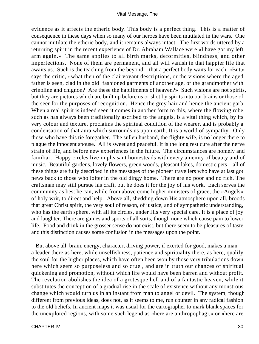evidence as it affects the etheric body. This body is a perfect thing. This is a matter of consequence in these days when so many of our heroes have been mutilated in the wars. One cannot mutilate the etheric body, and it remains always intact. The first words uttered by a returning spirit in the recent experience of Dr. Abraham Wallace were «I have got my left arm again.» The same applies to all birth marks, deformities, blindness, and other imperfections. None of them are permanent, and all will vanish in that happier life that awaits us. Such is the teaching from the beyond – that a perfect body waits for each. «But,» says the critic, «what then of the clairvoyant descriptions, or the visions where the aged father is seen, clad in the old−fashioned garments of another age, or the grandmother with crinoline and chignon? Are these the habiliments of heaven?» Such visions are not spirits, but they are pictures which are built up before us or shot by spirits into our brains or those of the seer for the purposes of recognition. Hence the grey hair and hence the ancient garb. When a real spirit is indeed seen it comes in another form to this, where the flowing robe, such as has always been traditionally ascribed to the angels, is a vital thing which, by its very colour and texture, proclaims the spiritual condition of the wearer, and is probably a condensation of that aura which surrounds us upon earth. It is a world of sympathy. Only those who have this tie foregather. The sullen husband, the flighty wife, is no longer there to plague the innocent spouse. All is sweet and peaceful. It is the long rest cure after the nerve strain of life, and before new experiences in the future. The circumstances are homely and familiar. Happy circles live in pleasant homesteads with every amenity of beauty and of music. Beautiful gardens, lovely flowers, green woods, pleasant lakes, domestic pets – all of these things are fully described in the messages of the pioneer travellers who have at last got news back to those who loiter in the old dingy home. There are no poor and no rich. The craftsman may still pursue his craft, but he does it for the joy of his work. Each serves the community as best he can, while from above come higher ministers of grace, the «Angels» of holy writ, to direct and help. Above all, shedding down His atmosphere upon all, broods that great Christ spirit, the very soul of reason, of justice, and of sympathetic understanding, who has the earth sphere, with all its circles, under His very special care. It is a place of joy and laughter. There are games and sports of all sorts, though none which cause pain to lower life. Food and drink in the grosser sense do not exist, but there seem to be pleasures of taste, and this distinction causes some confusion in the messages upon the point.

 But above all, brain, energy, character, driving power, if exerted for good, makes a man a leader there as here, while unselfishness, patience and spirituality there, as here, qualify the soul for the higher places, which have often been won by those very tribulations down here which seem so purposeless and so cruel, and are in truth our chances of spiritual quickening and promotion, without which life would have been barren and without profit. The revelation abolishes the idea of a grotesque hell and of a fantastic heaven, while it substitutes the conception of a gradual rise in the scale of existence without any monstrous change which would turn us in an instant from man to angel or devil. The system, though different from previous ideas, does not, as it seems to me, run counter in any radical fashion to the old beliefs. In ancient maps it was usual for the cartographer to mark blank spaces for the unexplored regions, with some such legend as «here are anthropophagi,» or «here are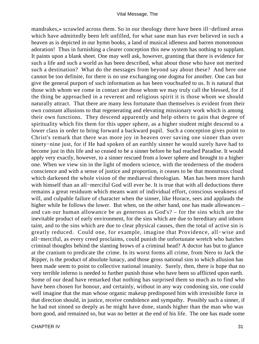mandrakes,» scrawled across them. So in our theology there have been ill−defined areas which have admittedly been left unfilled, for what sane man has ever believed in such a heaven as is depicted in our hymn books, a land of musical idleness and barren monotonous adoration! Thus in furnishing a clearer conception this new system has nothing to supplant. It paints upon a blank sheet. One may well ask, however, granting that there is evidence for such a life and such a world as has been described, what about those who have not merited such a destination? What do the messages from beyond say about these? And here one cannot be too definite, for there is no use exchanging one dogma for another. One can but give the general purport of such information as has been vouchsafed to us. It is natural that those with whom we come in contact are those whom we may truly call the blessed, for if the thing be approached in a reverent and religious spirit it is those whom we should naturally attract. That there are many less fortunate than themselves is evident from their own constant allusions to that regenerating and elevating missionary work which is among their own functions. They descend apparently and help others to gain that degree of spirituality which fits them for this upper sphere, as a higher student might descend to a lower class in order to bring forward a backward pupil. Such a conception gives point to Christ's remark that there was more joy in heaven over saving one sinner than over ninety−nine just, for if He had spoken of an earthly sinner he would surely have had to become just in this life and so ceased to be a sinner before he had reached Paradise. It would apply very exactly, however, to a sinner rescued from a lower sphere and brought to a higher one. When we view sin in the light of modern science, with the tenderness of the modern conscience and with a sense of justice and proportion, it ceases to be that monstrous cloud which darkened the whole vision of the mediaeval theologian. Man has been more harsh with himself than an all−merciful God will ever be. It is true that with all deductions there remains a great residuum which means want of individual effort, conscious weakness of will, and culpable failure of character when the sinner, like Horace, sees and applauds the higher while he follows the lower. But when, on the other hand, one has made allowances – and can our human allowance be as generous as God's? – for the sins which are the inevitable product of early environment, for the sins which are due to hereditary and inborn taint, and to the sins which are due to clear physical causes, then the total of active sin is greatly reduced. Could one, for example, imagine that Providence, all−wise and all−merciful, as every creed proclaims, could punish the unfortunate wretch who hatches criminal thoughts behind the slanting brows of a criminal head? A doctor has but to glance at the cranium to predicate the crime. In its worst forms all crime, from Nero to Jack the Ripper, is the product of absolute lunacy, and those gross national sins to which allusion has been made seem to point to collective national insanity. Surely, then, there is hope that no very terrible inferno is needed to further punish those who have been so afflicted upon earth. Some of our dead have remarked that nothing has surprised them so much as to find who have been chosen for honour, and certainly, without in any way condoning sin, one could well imagine that the man whose organic makeup predisposed him with irresistible force in that direction should, in justice, receive condolence and sympathy. Possibly such a sinner, if he had not sinned so deeply as he might have done, stands higher than the man who was born good, and remained so, but was no better at the end of his life. The one has made some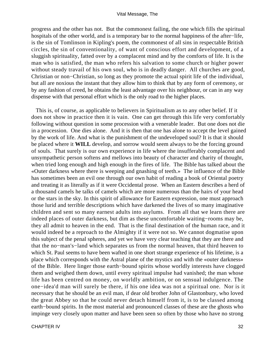#### Vital Message, The

progress and the other has not. But the commonest failing, the one which fills the spiritual hospitals of the other world, and is a temporary bar to the normal happiness of the after−life, is the sin of Tomlinson in Kipling's poem, the commonest of all sins in respectable British circles, the sin of conventionality, of want of conscious effort and development, of a sluggish spirituality, fatted over by a complacent mind and by the comforts of life. It is the man who is satisfied, the man who refers his salvation to some church or higher power without steady travail of his own soul, who is in deadly danger. All churches are good, Christian or non−Christian, so long as they promote the actual spirit life of the individual, but all are noxious the instant that they allow him to think that by any form of ceremony, or by any fashion of creed, he obtains the least advantage over his neighbour, or can in any way dispense with that personal effort which is the only road to the higher places.

 This is, of course, as applicable to believers in Spiritualism as to any other belief. If it does not show in practice then it is vain. One can get through this life very comfortably following without question in some procession with a venerable leader. But one does not die in a procession. One dies alone. And it is then that one has alone to accept the level gained by the work of life. And what is the punishment of the undeveloped soul? It is that it should be placed where it **WILL** develop, and sorrow would seem always to be the forcing ground of souls. That surely is our own experience in life where the insufferably complacent and unsympathetic person softens and mellows into beauty of character and charity of thought, when tried long enough and high enough in the fires of life. The Bible has talked about the «Outer darkness where there is weeping and gnashing of teeth.» The influence of the Bible has sometimes been an evil one through our own habit of reading a book of Oriental poetry and treating it as literally as if it were Occidental prose. When an Eastern describes a herd of a thousand camels he talks of camels which are more numerous than the hairs of your head or the stars in the sky. In this spirit of allowance for Eastern expression, one must approach those lurid and terrible descriptions which have darkened the lives of so many imaginative children and sent so many earnest adults into asylums. From all that we learn there are indeed places of outer darkness, but dim as these uncomfortable waiting−rooms may be, they all admit to heaven in the end. That is the final destination of the human race, and it would indeed be a reproach to the Almighty if it were not so. We cannot dogmatise upon this subject of the penal spheres, and yet we have very clear teaching that they are there and that the no−man's−land which separates us from the normal heaven, that third heaven to which St. Paul seems to have been wafted in one short strange experience of his lifetime, is a place which corresponds with the Astral plane of the mystics and with the «outer darkness» of the Bible. Here linger those earth−bound spirits whose worldly interests have clogged them and weighed them down, until every spiritual impulse had vanished; the man whose life has been centred on money, on worldly ambition, or on sensual indulgence. The one−idea'd man will surely be there, if his one idea was not a spiritual one. Nor is it necessary that he should be an evil man, if dear old brother John of Glastonbury, who loved the great Abbey so that he could never detach himself from it, is to be classed among earth−bound spirits. In the most material and pronounced classes of these are the ghosts who impinge very closely upon matter and have been seen so often by those who have no strong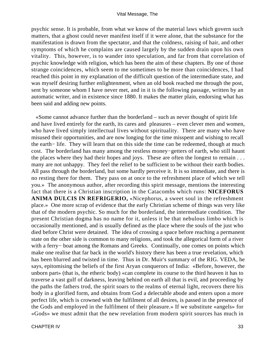psychic sense. It is probable, from what we know of the material laws which govern such matters, that a ghost could never manifest itself if it were alone, that the substance for the manifestation is drawn from the spectator, and that the coldness, raising of hair, and other symptoms of which he complains are caused largely by the sudden drain upon his own vitality. This, however, is to wander into speculation, and far from that correlation of psychic knowledge with religion, which has been the aim of these chapters. By one of those strange coincidences, which seem to me sometimes to be more than coincidences, I had reached this point in my explanation of the difficult question of the intermediate state, and was myself desiring further enlightenment, when an old book reached me through the post, sent by someone whom I have never met, and in it is the following passage, written by an automatic writer, and in existence since 1880. It makes the matter plain, endorsing what has been said and adding new points.

 «Some cannot advance further than the borderland – such as never thought of spirit life and have lived entirely for the earth, its cares and pleasures – even clever men and women, who have lived simply intellectual lives without spirituality. There are many who have misused their opportunities, and are now longing for the time misspent and wishing to recall the earth− life. They will learn that on this side the time can be redeemed, though at much cost. The borderland has many among the restless money−getters of earth, who still haunt the places where they had their hopes and joys. These are often the longest to remain . . . many are not unhappy. They feel the relief to be sufficient to be without their earth bodies. All pass through the borderland, but some hardly perceive it. It is so immediate, and there is no resting there for them. They pass on at once to the refreshment place of which we tell you.» The anonymous author, after recording this spirit message, mentions the interesting fact that there is a Christian inscription in the Catacombs which runs: **NICEFORUS ANIMA DULCIS IN REFRIGERIO,** «Nicephorus, a sweet soul in the refreshment place.» One more scrap of evidence that the early Christian scheme of things was very like that of the modern psychic. So much for the borderland, the intermediate condition. The present Christian dogma has no name for it, unless it be that nebulous limbo which is occasionally mentioned, and is usually defined as the place where the souls of the just who died before Christ were detained. The idea of crossing a space before reaching a permanent state on the other side is common to many religions, and took the allegorical form of a river with a ferry− boat among the Romans and Greeks. Continually, one comes on points which make one realise that far back in the world's history there has been a true revelation, which has been blurred and twisted in time. Thus in Dr. Muir's summary of the RIG. VEDA, he says, epitomising the beliefs of the first Aryan conquerors of India: «Before, however, the unborn part» (that is, the etheric body) «can complete its course to the third heaven it has to traverse a vast gulf of darkness, leaving behind on earth all that is evil, and proceeding by the paths the fathers trod, the spirit soars to the realms of eternal light, recovers there his body in a glorified form, and obtains from God a delectable abode and enters upon a more perfect life, which is crowned with the fulfilment of all desires, is passed in the presence of the Gods and employed in the fulfilment of their pleasure.» If we substitute «angels» for «Gods» we must admit that the new revelation from modern spirit sources has much in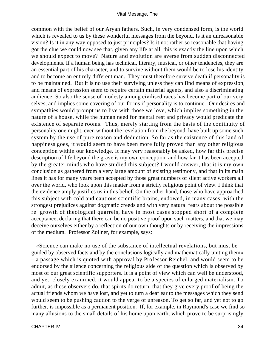common with the belief of our Aryan fathers. Such, in very condensed form, is the world which is revealed to us by these wonderful messages from the beyond. Is it an unreasonable vision? Is it in any way opposed to just principles? Is it not rather so reasonable that having got the clue we could now see that, given any life at all, this is exactly the line upon which we should expect to move? Nature and evolution are averse from sudden disconnected developments. If a human being has technical, literary, musical, or other tendencies, they are an essential part of his character, and to survive without them would be to lose his identity and to become an entirely different man. They must therefore survive death if personality is to be maintained. But it is no use their surviving unless they can find means of expression, and means of expression seem to require certain material agents, and also a discriminating audience. So also the sense of modesty among civilised races has become part of our very selves, and implies some covering of our forms if personality is to continue. Our desires and sympathies would prompt us to live with those we love, which implies something in the nature of a house, while the human need for mental rest and privacy would predicate the existence of separate rooms. Thus, merely starting from the basis of the continuity of personality one might, even without the revelation from the beyond, have built up some such system by the use of pure reason and deduction. So far as the existence of this land of happiness goes, it would seem to have been more fully proved than any other religious conception within our knowledge. It may very reasonably be asked, how far this precise description of life beyond the grave is my own conception, and how far it has been accepted by the greater minds who have studied this subject? I would answer, that it is my own conclusion as gathered from a very large amount of existing testimony, and that in its main lines it has for many years been accepted by those great numbers of silent active workers all over the world, who look upon this matter from a strictly religious point of view. I think that the evidence amply justifies us in this belief. On the other hand, those who have approached this subject with cold and cautious scientific brains, endowed, in many cases, with the strongest prejudices against dogmatic creeds and with very natural fears about the possible re−growth of theological quarrels, have in most cases stopped short of a complete acceptance, declaring that there can be no positive proof upon such matters, and that we may deceive ourselves either by a reflection of our own thoughts or by receiving the impressions of the medium. Professor Zollner, for example, says:

 «Science can make no use of the substance of intellectual revelations, but must be guided by observed facts and by the conclusions logically and mathematically uniting them» – a passage which is quoted with approval by Professor Reichel, and would seem to be endorsed by the silence concerning the religious side of the question which is observed by most of our great scientific supporters. It is a point of view which can well be understood, and yet, closely examined, it would appear to be a species of enlarged materialism. To admit, as these observers do, that spirits do return, that they give every proof of being the actual friends whom we have lost, and yet to turn a deaf ear to the messages which they send would seem to be pushing caution to the verge of unreason. To get so far, and yet not to go further, is impossible as a permanent position. If, for example, in Raymond's case we find so many allusions to the small details of his home upon earth, which prove to be surprisingly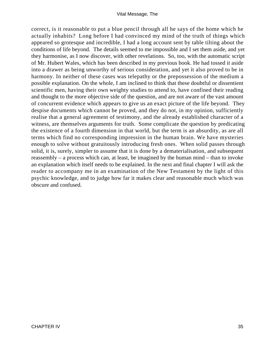correct, is it reasonable to put a blue pencil through all he says of the home which he actually inhabits? Long before I had convinced my mind of the truth of things which appeared so grotesque and incredible, I had a long account sent by table tilting about the conditions of life beyond. The details seemed to me impossible and I set them aside, and yet they harmonise, as I now discover, with other revelations. So, too, with the automatic script of Mr. Hubert Wales, which has been described in my previous book. He had tossed it aside into a drawer as being unworthy of serious consideration, and yet it also proved to be in harmony. In neither of these cases was telepathy or the prepossession of the medium a possible explanation. On the whole, I am inclined to think that these doubtful or dissentient scientific men, having their own weighty studies to attend to, have confined their reading and thought to the more objective side of the question, and are not aware of the vast amount of concurrent evidence which appears to give us an exact picture of the life beyond. They despise documents which cannot be proved, and they do not, in my opinion, sufficiently realise that a general agreement of testimony, and the already established character of a witness, are themselves arguments for truth. Some complicate the question by predicating the existence of a fourth dimension in that world, but the term is an absurdity, as are all terms which find no corresponding impression in the human brain. We have mysteries enough to solve without gratuitously introducing fresh ones. When solid passes through solid, it is, surely, simpler to assume that it is done by a dematerialisation, and subsequent reassembly – a process which can, at least, be imagined by the human mind – than to invoke an explanation which itself needs to be explained. In the next and final chapter I will ask the reader to accompany me in an examination of the New Testament by the light of this psychic knowledge, and to judge how far it makes clear and reasonable much which was obscure and confused.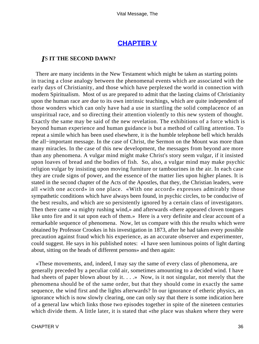# **[CHAPTER V](#page-52-0)**

#### <span id="page-36-0"></span>*I*S **IT THE SECOND DAWN?**

 There are many incidents in the New Testament which might be taken as starting points in tracing a close analogy between the phenomenal events which are associated with the early days of Christianity, and those which have perplexed the world in connection with modern Spiritualism. Most of us are prepared to admit that the lasting claims of Christianity upon the human race are due to its own intrinsic teachings, which are quite independent of those wonders which can only have had a use in startling the solid complacence of an unspiritual race, and so directing their attention violently to this new system of thought. Exactly the same may be said of the new revelation. The exhibitions of a force which is beyond human experience and human guidance is but a method of calling attention. To repeat a simile which has been used elsewhere, it is the humble telephone bell which heralds the all−important message. In the case of Christ, the Sermon on the Mount was more than many miracles. In the case of this new development, the messages from beyond are more than any phenomena. A vulgar mind might make Christ's story seem vulgar, if it insisted upon loaves of bread and the bodies of fish. So, also, a vulgar mind may make psychic religion vulgar by insisting upon moving furniture or tambourines in the air. In each case they are crude signs of power, and the essence of the matter lies upon higher planes. It is stated in the second chapter of the Acts of the Apostles, that they, the Christian leaders, were all «with one accord» in one place. «With one accord» expresses admirably those sympathetic conditions which have always been found, in psychic circles, to be conducive of the best results, and which are so persistently ignored by a certain class of investigators. Then there came «a mighty rushing wind,» and afterwards «there appeared cloven tongues like unto fire and it sat upon each of them.» Here is a very definite and clear account of a remarkable sequence of phenomena. Now, let us compare with this the results which were obtained by Professor Crookes in his investigation in 1873, after he had taken every possible precaution against fraud which his experience, as an accurate observer and experimenter, could suggest. He says in his published notes: «I have seen luminous points of light darting about, sitting on the heads of different persons» and then again:

 «These movements, and, indeed, I may say the same of every class of phenomena, are generally preceded by a peculiar cold air, sometimes amounting to a decided wind. I have had sheets of paper blown about by it. . . . » Now, is it not singular, not merely that the phenomena should be of the same order, but that they should come in exactly the same sequence, the wind first and the lights afterwards? In our ignorance of etheric physics, an ignorance which is now slowly clearing, one can only say that there is some indication here of a general law which links those two episodes together in spite of the nineteen centuries which divide them. A little later, it is stated that «the place was shaken where they were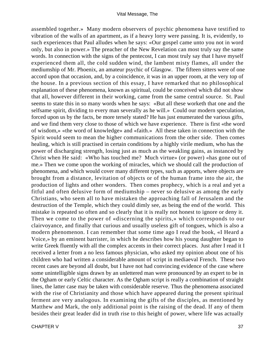assembled together.» Many modern observers of psychic phenomena have testified to vibration of the walls of an apartment, as if a heavy lorry were passing. It is, evidently, to such experiences that Paul alludes when he says: «Our gospel came unto you not in word only, but also in power.» The preacher of the New Revelation can most truly say the same words. In connection with the signs of the pentecost, I can most truly say that I have myself experienced them all, the cold sudden wind, the lambent misty flames, all under the mediumship of Mr. Phoenix, an amateur psychic of Glasgow. The fifteen sitters were of one accord upon that occasion, and, by a coincidence, it was in an upper room, at the very top of the house. In a previous section of this essay, I have remarked that no philosophical explanation of these phenomena, known as spiritual, could be conceived which did not show that all, however different in their working, came from the same central source. St. Paul seems to state this in so many words when he says: «But all these worketh that one and the selfsame spirit, dividing to every man severally as he will.» Could our modern speculation, forced upon us by the facts, be more tersely stated? He has just enumerated the various gifts, and we find them very close to those of which we have experience. There is first «the word of wisdom,» «the word of knowledge» and «faith.» All these taken in connection with the Spirit would seem to mean the higher communications from the other side. Then comes healing, which is still practised in certain conditions by a highly virile medium, who has the power of discharging strength, losing just as much as the weakling gains, as instanced by Christ when He said: «Who has touched me? Much virtue» (or power) «has gone out of me.» Then we come upon the working of miracles, which we should call the production of phenomena, and which would cover many different types, such as apports, where objects are brought from a distance, levitation of objects or of the human frame into the air, the production of lights and other wonders. Then comes prophecy, which is a real and yet a fitful and often delusive form of mediumship – never so delusive as among the early Christians, who seem all to have mistaken the approaching fall of Jerusalem and the destruction of the Temple, which they could dimly see, as being the end of the world. This mistake is repeated so often and so clearly that it is really not honest to ignore or deny it. Then we come to the power of «discerning the spirits,» which corresponds to our clairvoyance, and finally that curious and usually useless gift of tongues, which is also a modern phenomenon. I can remember that some time ago I read the book, «I Heard a Voice,» by an eminent barrister, in which he describes how his young daughter began to write Greek fluently with all the complex accents in their correct places. Just after I read it I received a letter from a no less famous physician, who asked my opinion about one of his children who had written a considerable amount of script in mediaeval French. These two recent cases are beyond all doubt, but I have not had convincing evidence of the case where some unintelligible signs drawn by an unlettered man were pronounced by an expert to be in the Ogham or early Celtic character. As the Ogham script is really a combination of straight lines, the latter case may be taken with considerable reserve. Thus the phenomena associated with the rise of Christianity and those which have appeared during the present spiritual ferment are very analogous. In examining the gifts of the disciples, as mentioned by Matthew and Mark, the only additional point is the raising of the dead. If any of them besides their great leader did in truth rise to this height of power, where life was actually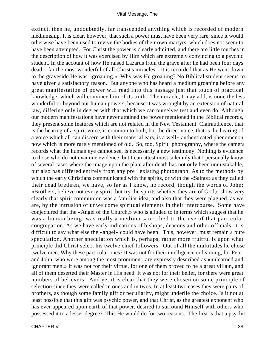extinct, then he, undoubtedly, far transcended anything which is recorded of modern mediumship. It is clear, however, that such a power must have been very rare, since it would otherwise have been used to revive the bodies of their own martyrs, which does not seem to have been attempted. For Christ the power is clearly admitted, and there are little touches in the description of how it was exercised by Him which are extremely convincing to a psychic student. In the account of how He raised Lazarus from the grave after he had been four days dead – far the most wonderful of all Christ's miracles – it is recorded that as He went down to the graveside He was «groaning.» Why was He groaning? No Biblical student seems to have given a satisfactory reason. But anyone who has heard a medium groaning before any great manifestation of power will read into this passage just that touch of practical knowledge, which will convince him of its truth. The miracle, I may add, is none the less wonderful or beyond our human powers, because it was wrought by an extension of natural law, differing only in degree with that which we can ourselves test and even do. Although our modern manifestations have never attained the power mentioned in the Biblical records, they present some features which are not related in the New Testament. Clairaudience, that is the hearing of a spirit voice, is common to both, but the direct voice, that is the hearing of a voice which all can discern with their material ears, is a well− authenticated phenomenon now which is more rarely mentioned of old. So, too, Spirit−photography, where the camera records what the human eye cannot see, is necessarily a new testimony. Nothing is evidence to those who do not examine evidence, but I can attest most solemnly that I personally know of several cases where the image upon the plate after death has not only been unmistakable, but also has differed entirely from any pre− existing photograph. As to the methods by which the early Christians communicated with the spirits, or with the «Saints» as they called their dead brethren, we have, so far as I know, no record, though the words of John: «Brothers, believe not every spirit, but try the spirits whether they are of God,» show very clearly that spirit communion was a familiar idea, and also that they were plagued, as we are, by the intrusion of unwelcome spiritual elements in their intercourse. Some have conjectured that the «Angel of the Church,» who is alluded to in terms which suggest that he was a human being, was really a medium sanctified to the use of that particular congregation. As we have early indications of bishops, deacons and other officials, it is difficult to say what else the «angel» could have been. This, however, must remain a pure speculation. Another speculation which is, perhaps, rather more fruitful is upon what principle did Christ select his twelve chief followers. Out of all the multitudes he chose twelve men. Why these particular ones? It was not for their intelligence or learning, for Peter and John, who were among the most prominent, are expressly described as «unlearned and ignorant men.» It was not for their virtue, for one of them proved to be a great villain, and all of them deserted their Master in His need. It was not for their belief, for there were great numbers of believers. And yet it is clear that they were chosen on some principle of selection since they were called in ones and in twos. In at least two cases they were pairs of brothers, as though some family gift or peculiarity, might underlie the choice. Is it not at least possible that this gift was psychic power, and that Christ, as the greatest exponent who has ever appeared upon earth of that power, desired to surround Himself with others who possessed it to a lesser degree? This He would do for two reasons. The first is that a psychic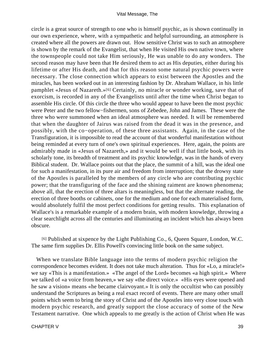circle is a great source of strength to one who is himself psychic, as is shown continually in our own experience, where, with a sympathetic and helpful surrounding, an atmosphere is created where all the powers are drawn out. How sensitive Christ was to such an atmosphere is shown by the remark of the Evangelist, that when He visited His own native town, where the townspeople could not take Him seriously, He was unable to do any wonders. The second reason may have been that He desired them to act as His deputies, either during his lifetime or after His death, and that for this reason some natural psychic powers were necessary. The close connection which appears to exist between the Apostles and the miracles, has been worked out in an interesting fashion by Dr. Abraham Wallace, in his little pamphlet «Jesus of Nazareth.»[6] Certainly, no miracle or wonder working, save that of exorcism, is recorded in any of the Evangelists until after the time when Christ began to assemble His circle. Of this circle the three who would appear to have been the most psychic were Peter and the two fellow−fishermen, sons of Zebedee, John and James. These were the three who were summoned when an ideal atmosphere was needed. It will be remembered that when the daughter of Jairus was raised from the dead it was in the presence, and possibly, with the co−operation, of these three assistants. Again, in the case of the Transfiguration, it is impossible to read the account of that wonderful manifestation without being reminded at every turn of one's own spiritual experiences. Here, again, the points are admirably made in «Jesus of Nazareth,» and it would be well if that little book, with its scholarly tone, its breadth of treatment and its psychic knowledge, was in the hands of every Biblical student. Dr. Wallace points out that the place, the summit of a hill, was the ideal one for such a manifestation, in its pure air and freedom from interruption; that the drowsy state of the Apostles is paralleled by the members of any circle who are contributing psychic power; that the transfiguring of the face and the shining raiment are known phenomena; above all, that the erection of three altars is meaningless, but that the alternate reading, the erection of three booths or cabinets, one for the medium and one for each materialised form, would absolutely fulfil the most perfect conditions for getting results. This explanation of Wallace's is a remarkable example of a modern brain, with modern knowledge, throwing a clear searchlight across all the centuries and illuminating an incident which has always been obscure.

[6] Published at sixpence by the Light Publishing Co., 6, Queen Square, London, W.C. The same firm supplies Dr. Ellis Powell's convincing little book on the same subject.

 When we translate Bible language into the terms of modern psychic religion the correspondence becomes evident. It does not take much alteration. Thus for «Lo, a miracle!» we say «This is a manifestation.» «The angel of the Lord» becomes «a high spirit.» Where we talked of «a voice from heaven,» we say «the direct voice.» «His eyes were opened and he saw a vision» means «he became clairvoyant.» It is only the occultist who can possibly understand the Scriptures as being a real exact record of events. There are many other small points which seem to bring the story of Christ and of the Apostles into very close touch with modern psychic research, and greatly support the close accuracy of some of the New Testament narrative. One which appeals to me greatly is the action of Christ when He was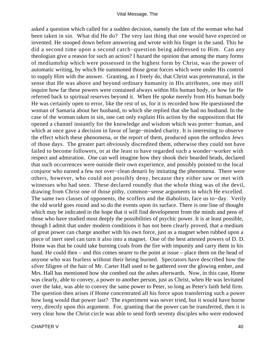asked a question which called for a sudden decision, namely the fate of the woman who had been taken in sin. What did He do? The very last thing that one would have expected or invented. He stooped down before answering and wrote with his finger in the sand. This he did a second time upon a second catch−question being addressed to Him. Can any theologian give a reason for such an action? I hazard the opinion that among the many forms of mediumship which were possessed in the highest form by Christ, was the power of automatic writing, by which He summoned those great forces which were under His control to supply Him with the answer. Granting, as I freely do, that Christ was preternatural, in the sense that He was above and beyond ordinary humanity in His attributes, one may still inquire how far these powers were contained always within His human body, or how far He referred back to spiritual reserves beyond it. When He spoke merely from His human body He was certainly open to error, like the rest of us, for it is recorded how He questioned the woman of Samaria about her husband, to which she replied that she had no husband. In the case of the woman taken in sin, one can only explain His action by the supposition that He opened a channel instantly for the knowledge and wisdom which was preter−human, and which at once gave a decision in favor of large−minded charity. It is interesting to observe the effect which these phenomena, or the report of them, produced upon the orthodox Jews of those days. The greater part obviously discredited them, otherwise they could not have failed to become followers, or at the least to have regarded such a wonder−worker with respect and admiration. One can well imagine how they shook their bearded heads, declared that such occurrences were outside their own experience, and possibly pointed to the local conjuror who earned a few not over−clean denarii by imitating the phenomena. There were others, however, who could not possibly deny, because they either saw or met with witnesses who had seen. These declared roundly that the whole thing was of the devil, drawing from Christ one of those pithy, common−sense arguments in which He excelled. The same two classes of opponents, the scoffers and the diabolists, face us to−day. Verily the old world goes round and so do the events upon its surface. There is one line of thought which may be indicated in the hope that it will find development from the minds and pens of those who have studied most deeply the possibilities of psychic power. It is at least possible, though I admit that under modern conditions it has not been clearly proved, that a medium of great power can charge another with his own force, just as a magnet when rubbed upon a piece of inert steel can turn it also into a magnet. One of the best attested powers of D. D. Home was that he could take burning coals from the fire with impunity and carry them in his hand. He could then – and this comes nearer to the point at issue – place them on the head of anyone who was fearless without their being burned. Spectators have described how the silver filigree of the hair of Mr. Carter Hall used to be gathered over the glowing ember, and Mrs. Hall has mentioned how she combed out the ashes afterwards. Now, in this case, Home was clearly, able to convey, a power to another person, just as Christ, when He was levitated over the lake, was able to convey the same power to Peter, so long as Peter's faith held firm. The question then arises if Home concentrated all his force upon transferring such a power how long would that power last? The experiment was never tried, but it would have borne very, directly upon this argument. For, granting that the power can be transferred, then it is very clear how the Christ circle was able to send forth seventy disciples who were endowed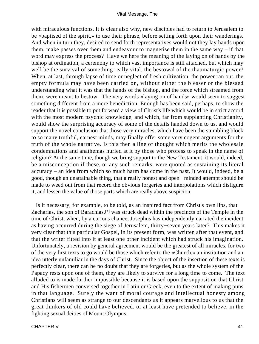with miraculous functions. It is clear also why, new disciples had to return to Jerusalem to be «baptised of the spirit,» to use their phrase, before setting forth upon their wanderings. And when in turn they, desired to send forth representatives would not they lay hands upon them, make passes over them and endeavour to magnetise them in the same way – if that word may express the process? Have we here the meaning of the laying on of hands by the bishop at ordination, a ceremony to which vast importance is still attached, but which may well be the survival of something really vital, the bestowal of the thaumaturgic power? When, at last, through lapse of time or neglect of fresh cultivation, the power ran out, the empty formula may have been carried on, without either the blesser or the blessed understanding what it was that the hands of the bishop, and the force which streamed from them, were meant to bestow. The very words «laying on of hands» would seem to suggest something different from a mere benediction. Enough has been said, perhaps, to show the reader that it is possible to put forward a view of Christ's life which would be in strict accord with the most modern psychic knowledge, and which, far from supplanting Christianity, would show the surprising accuracy of some of the details handed down to us, and would support the novel conclusion that those very miracles, which have been the stumbling block to so many truthful, earnest minds, may finally offer some very cogent arguments for the truth of the whole narrative. Is this then a line of thought which merits the wholesale condemnations and anathemas hurled at it by those who profess to speak in the name of religion? At the same time, though we bring support to the New Testament, it would, indeed, be a misconception if these, or any such remarks, were quoted as sustaining its literal accuracy – an idea from which so much harm has come in the past. It would, indeed, be a good, though an unattainable thing, that a really honest and open− minded attempt should be made to weed out from that record the obvious forgeries and interpolations which disfigure it, and lessen the value of those parts which are really above suspicion.

 Is it necessary, for example, to be told, as an inspired fact from Christ's own lips, that Zacharias, the son of Barachias,[7] was struck dead within the precincts of the Temple in the time of Christ, when, by a curious chance, Josephus has independently narrated the incident as having occurred during the siege of Jerusalem, thirty−seven years later? This makes it very clear that this particular Gospel, in its present form, was written after that event, and that the writer fitted into it at least one other incident which had struck his imagination. Unfortunately, a revision by general agreement would be the greatest of all miracles, for two of the very first texts to go would be those which refer to the «Church,» an institution and an idea utterly unfamiliar in the days of Christ. Since the object of the insertion of these texts is perfectly clear, there can be no doubt that they are forgeries, but as the whole system of the Papacy rests upon one of them, they are likely to survive for a long time to come. The text alluded to is made further impossible because it is based upon the supposition that Christ and His fishermen conversed together in Latin or Greek, even to the extent of making puns in that language. Surely the want of moral courage and intellectual honesty among Christians will seem as strange to our descendants as it appears marvellous to us that the great thinkers of old could have believed, or at least have pretended to believe, in the fighting sexual deities of Mount Olympus.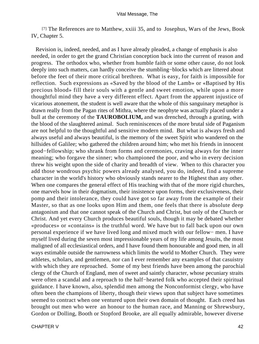[7] The References are to Matthew, xxiii 35, and to Josephus, Wars of the Jews, Book IV, Chapter 5.

 Revision is, indeed, needed, and as I have already pleaded, a change of emphasis is also needed, in order to get the grand Christian conception back into the current of reason and progress. The orthodox who, whether from humble faith or some other cause, do not look deeply into such matters, can hardly conceive the stumbling−blocks which are littered about before the feet of their more critical brethren. What is easy, for faith is impossible for reflection. Such expressions as «Saved by the blood of the Lamb» or «Baptised by His precious blood» fill their souls with a gentle and sweet emotion, while upon a more thoughtful mind they have a very different effect. Apart from the apparent injustice of vicarious atonement, the student is well aware that the whole of this sanguinary metaphor is drawn really from the Pagan rites of Mithra, where the neophyte was actually placed under a bull at the ceremony of the **TAUROBOLIUM,** and was drenched, through a grating, with the blood of the slaughtered animal. Such reminiscences of the more brutal side of Paganism are not helpful to the thoughtful and sensitive modern mind. But what is always fresh and always useful and always beautiful, is the memory of the sweet Spirit who wandered on the hillsides of Galilee; who gathered the children around him; who met his friends in innocent good−fellowship; who shrank from forms and ceremonies, craving always for the inner meaning; who forgave the sinner; who championed the poor, and who in every decision threw his weight upon the side of charity and breadth of view. When to this character you add those wondrous psychic powers already analysed, you do, indeed, find a supreme character in the world's history who obviously stands nearer to the Highest than any other. When one compares the general effect of His teaching with that of the more rigid churches, one marvels how in their dogmatism, their insistence upon forms, their exclusiveness, their pomp and their intolerance, they could have got so far away from the example of their Master, so that as one looks upon Him and them, one feels that there is absolute deep antagonism and that one cannot speak of the Church and Christ, but only of the Church or Christ. And yet every Church produces beautiful souls, though it may be debated whether «produces» or «contains» is the truthful word. We have but to fall back upon our own personal experience if we have lived long and mixed much with our fellow− men. I have myself lived during the seven most impressionable years of my life among Jesuits, the most maligned of all ecclesiastical orders, and I have found them honourable and good men, in all ways estimable outside the narrowness which limits the world to Mother Church. They were athletes, scholars, and gentlemen, nor can I ever remember any examples of that casuistry with which they are reproached. Some of my best friends have been among the parochial clergy of the Church of England, men of sweet and saintly character, whose pecuniary straits were often a scandal and a reproach to the half−hearted folk who accepted their spiritual guidance. I have known, also, splendid men among the Nonconformist clergy, who have often been the champions of liberty, though their views upon that subject have sometimes seemed to contract when one ventured upon their own domain of thought. Each creed has brought out men who were an honour to the human race, and Manning or Shrewsbury, Gordon or Dolling, Booth or Stopford Brooke, are all equally admirable, however diverse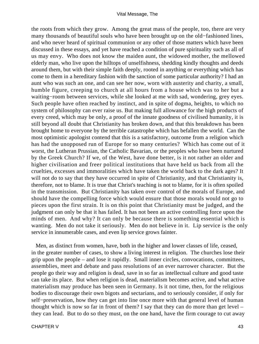the roots from which they grow. Among the great mass of the people, too, there are very many thousands of beautiful souls who have been brought up on the old−fashioned lines, and who never heard of spiritual communion or any other of those matters which have been discussed in these essays, and yet have reached a condition of pure spirituality such as all of us may envy. Who does not know the maiden aunt, the widowed mother, the mellowed elderly man, who live upon the hilltops of unselfishness, shedding kindly thoughts and deeds around them, but with their simple faith deeply, rooted in anything or everything which has come to them in a hereditary fashion with the sanction of some particular authority? I had an aunt who was such an one, and can see her now, worn with austerity and charity, a small, humble figure, creeping to church at all hours from a house which was to her but a waiting−room between services, while she looked at me with sad, wondering, grey eyes. Such people have often reached by instinct, and in spite of dogma, heights, to which no system of philosophy can ever raise us. But making full allowance for the high products of every creed, which may be only, a proof of the innate goodness of civilised humanity, it is still beyond all doubt that Christianity has broken down, and that this breakdown has been brought home to everyone by the terrible catastrophe which has befallen the world. Can the most optimistic apologist contend that this is a satisfactory, outcome from a religion which has had the unopposed run of Europe for so many centuries? Which has come out of it worst, the Lutheran Prussian, the Catholic Bavarian, or the peoples who have been nurtured by the Greek Church? If we, of the West, have done better, is it not rather an older and higher civilisation and freer political institutions that have held us back from all the cruelties, excesses and immoralities which have taken the world back to the dark ages? It will not do to say that they have occurred in spite of Christianity, and that Christianity is, therefore, not to blame. It is true that Christ's teaching is not to blame, for it is often spoiled in the transmission. But Christianity has taken over control of the morals of Europe, and should have the compelling force which would ensure that those morals would not go to pieces upon the first strain. It is on this point that Christianity must be judged, and the judgment can only be that it has failed. It has not been an active controlling force upon the minds of men. And why? It can only be because there is something essential which is wanting. Men do not take it seriously. Men do not believe in it. Lip service is the only service in innumerable cases, and even lip service grows fainter.

 Men, as distinct from women, have, both in the higher and lower classes of life, ceased, in the greater number of cases, to show a living interest in religion. The churches lose their grip upon the people – and lose it rapidly. Small inner circles, convocations, committees, assemblies, meet and debate and pass resolutions of an ever narrower character. But the people go their way and religion is dead, save in so far as intellectual culture and good taste can take its place. But when religion is dead, materialism becomes active, and what active materialism may produce has been seen in Germany. Is it not time, then, for the religious bodies to discourage their own bigots and sectarians, and to seriously consider, if only for self–preservation, how they can get into line once more with that general level of human thought which is now so far in front of them? I say that they can do more than get level – they can lead. But to do so they must, on the one hand, have the firm courage to cut away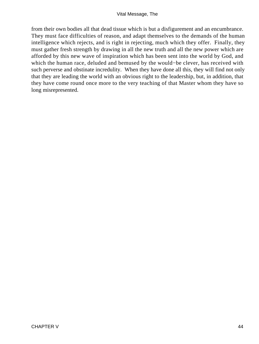from their own bodies all that dead tissue which is but a disfigurement and an encumbrance. They must face difficulties of reason, and adapt themselves to the demands of the human intelligence which rejects, and is right in rejecting, much which they offer. Finally, they must gather fresh strength by drawing in all the new truth and all the new power which are afforded by this new wave of inspiration which has been sent into the world by God, and which the human race, deluded and bemused by the would−be clever, has received with such perverse and obstinate incredulity. When they have done all this, they will find not only that they are leading the world with an obvious right to the leadership, but, in addition, that they have come round once more to the very teaching of that Master whom they have so long misrepresented.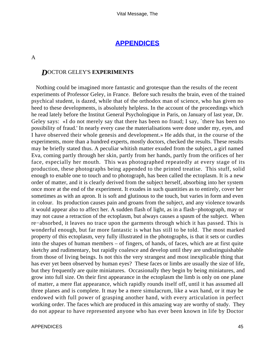# **[APPENDICES](#page-52-0)**

<span id="page-45-0"></span>A

## *D*OCTOR GELEY'S **EXPERIMENTS**

 Nothing could be imagined more fantastic and grotesque than the results of the recent experiments of Professor Geley, in France. Before such results the brain, even of the trained psychical student, is dazed, while that of the orthodox man of science, who has given no heed to these developments, is absolutely helpless. In the account of the proceedings which he read lately before the Institut General Psychologique in Paris, on January of last year, Dr. Geley says: «I do not merely say that there has been no fraud; I say, `there has been no possibility of fraud.' In nearly every case the materialisations were done under my, eyes, and I have observed their whole genesis and development.» He adds that, in the course of the experiments, more than a hundred experts, mostly doctors, checked the results. These results may be briefly stated thus. A peculiar whitish matter exuded from the subject, a girl named Eva, coming partly through her skin, partly from her hands, partly from the orifices of her face, especially her mouth. This was photographed repeatedly at every stage of its production, these photographs being appended to the printed treatise. This stuff, solid enough to enable one to touch and to photograph, has been called the ectoplasm. It is a new order of matter, and it is clearly derived from the subject herself, absorbing into her system once more at the end of the experiment. It exudes in such quantities as to entirely, cover her sometimes as with an apron. It is soft and glutinous to the touch, but varies in form and even in colour. Its production causes pain and groans from the subject, and any violence towards it would appear also to affect her. A sudden flash of light, as in a flash−photograph, may or may not cause a retraction of the ectoplasm, but always causes a spasm of the subject. When re−absorbed, it leaves no trace upon the garments through which it has passed. This is wonderful enough, but far more fantastic is what has still to be told. The most marked property of this ectoplasm, very fully illustrated in the photographs, is that it sets or curdles into the shapes of human members – of fingers, of hands, of faces, which are at first quite sketchy and rudimentary, but rapidly coalesce and develop until they are undistinguishable from those of living beings. Is not this the very strangest and most inexplicable thing that has ever yet been observed by human eyes? These faces or limbs are usually the size of life, but they frequently are quite miniatures. Occasionally they begin by being miniatures, and grow into full size. On their first appearance in the ectoplasm the limb is only on one plane of matter, a mere flat appearance, which rapidly rounds itself off, until it has assumed all three planes and is complete. It may be a mere simulacrum, like a wax hand, or it may be endowed with full power of grasping another hand, with every articulation in perfect working order. The faces which are produced in this amazing way are worthy of study. They do not appear to have represented anyone who has ever been known in life by Doctor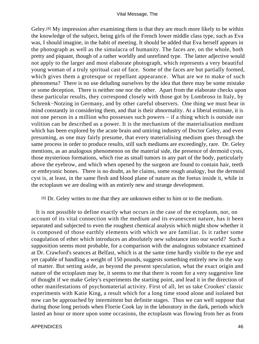Geley.[8] My impression after examining them is that they are much more likely to be within the knowledge of the subject, being girls of the French lower middle class type, such as Eva was, I should imagine, in the habit of meeting. It should be added that Eva herself appears in the photograph as well as the simulacra of humanity. The faces are, on the whole, both pretty and piquant, though of a rather worldly and unrefined type. The latter adjective would not apply to the larger and most elaborate photograph, which represents a very beautiful young woman of a truly spiritual cast of face. Some of the faces are but partially formed, which gives them a grotesque or repellant appearance. What are we to make of such phenomena? There is no use deluding ourselves by the idea that there may be some mistake or some deception. There is neither one nor the other. Apart from the elaborate checks upon these particular results, they correspond closely with those got by Lombroso in Italy, by Schrenk−Notzing in Germany, and by other careful observers. One thing we must bear in mind constantly in considering them, and that is their abnormality. At a liberal estimate, it is not one person in a million who possesses such powers – if a thing which is outside our volition can be described as a power. It is the mechanism of the materialisation medium which has been explored by the acute brain and untiring industry of Doctor Geley, and even presuming, as one may fairly presume, that every materialising medium goes through the same process in order to produce results, still such mediums are exceedingly, rare. Dr. Geley mentions, as an analogous phenomenon on the material side, the presence of dermoid cysts, those mysterious formations, which rise as small tumors in any part of the body, particularly above the eyebrow, and which when opened by the surgeon are found to contain hair, teeth or embryonic bones. There is no doubt, as he claims, some rough analogy, but the dermoid cyst is, at least, in the same flesh and blood plane of nature as the foetus inside it, while in the ectoplasm we are dealing with an entirely new and strange development.

[8] Dr. Geley writes to me that they are unknown either to him or to the medium.

 It is not possible to define exactly what occurs in the case of the ectoplasm, nor, on account of its vital connection with the medium and its evanescent nature, has it been separated and subjected to even the roughest chemical analysis which might show whether it is composed of those earthly elements with which we are familiar. Is it rather some coagulation of ether which introduces an absolutely new substance into our world? Such a supposition seems most probable, for a comparison with the analogous substance examined at Dr. Crawford's seances at Belfast, which is at the same time hardly visible to the eye and yet capable of handling a weight of 150 pounds, suggests something entirely new in the way of matter. But setting aside, as beyond the present speculation, what the exact origin and nature of the ectoplasm may be, it seems to me that there is room for a very suggestive line of thought if we make Geley's experiments the starting point, and lead it in the direction of other manifestations of psychomaterial activity. First of all, let us take Crookes' classic experiments with Katie King, a result which for a long time stood alone and isolated but now can be approached by intermittent but definite stages. Thus we can well suppose that during those long periods when Florrie Cook lay in the laboratory in the dark, periods which lasted an hour or more upon some occasions, the ectoplasm was flowing from her as from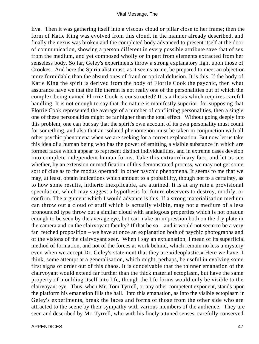#### Vital Message, The

Eva. Then it was gathering itself into a viscous cloud or pillar close to her frame; then the form of Katie King was evolved from this cloud, in the manner already described, and finally the nexus was broken and the completed body advanced to present itself at the door of communication, showing a person different in every possible attribute save that of sex from the medium, and yet composed wholly or in part from elements extracted from her senseless body. So far, Geley's experiments throw a strong explanatory light upon those of Crookes. And here the Spiritualist must, as it seems to me, be prepared to meet an objection more formidable than the absurd ones of fraud or optical delusion. It is this. If the body of Katie King the spirit is derived from the body of Florrie Cook the psychic, then what assurance have we that the life therein is not really one of the personalities out of which the complex being named Florrie Cook is constructed? It is a thesis which requires careful handling. It is not enough to say that the nature is manifestly superior, for supposing that Florrie Cook represented the average of a number of conflicting personalities, then a single one of these personalities might be far higher than the total effect. Without going deeply into this problem, one can but say that the spirit's own account of its own personality must count for something, and also that an isolated phenomenon must be taken in conjunction with all other psychic phenomena when we are seeking for a correct explanation. But now let us take this idea of a human being who has the power of emitting a visible substance in which are formed faces which appear to represent distinct individualities, and in extreme cases develop into complete independent human forms. Take this extraordinary fact, and let us see whether, by an extension or modification of this demonstrated process, we may not get some sort of clue as to the modus operandi in other psychic phenomena. It seems to me that we may, at least, obtain indications which amount to a probability, though not to a certainty, as to how some results, hitherto inexplicable, are attained. It is at any rate a provisional speculation, which may suggest a hypothesis for future observers to destroy, modify, or confirm. The argument which I would advance is this. If a strong materialisation medium can throw out a cloud of stuff which is actually visible, may not a medium of a less pronounced type throw out a similar cloud with analogous properties which is not opaque enough to be seen by the average eye, but can make an impression both on the dry plate in the camera and on the clairvoyant faculty? If that be so – and it would not seem to be a very far−fetched proposition – we have at once an explanation both of psychic photographs and of the visions of the clairvoyant seer. When I say an explanation, I mean of its superficial method of formation, and not of the forces at work behind, which remain no less a mystery even when we accept Dr. Geley's statement that they are «ideoplastic.» Here we have, I think, some attempt at a generalisation, which might, perhaps, be useful in evolving some first signs of order out of this chaos. It is conceivable that the thinner emanation of the clairvoyant would extend far further than the thick material ectoplasm, but have the same property of moulding itself into life, though the life forms would only be visible to the clairvoyant eye. Thus, when Mr. Tom Tyrrell, or any other competent exponent, stands upon the platform his emanation fills the hall. Into this emanation, as into the visible ectoplasm in Geley's experiments, break the faces and forms of those from the other side who are attracted to the scene by their sympathy with various members of the audience. They are seen and described by Mr. Tyrrell, who with his finely attuned senses, carefully conserved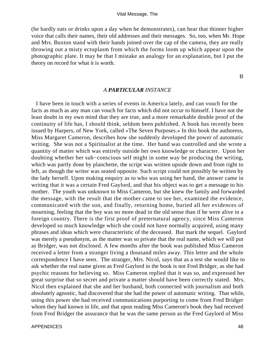(he hardly eats or drinks upon a day when he demonstrates), can hear that thinner higher voice that calls their names, their old addresses and their messages. So, too, when Mr. Hope and Mrs. Buxton stand with their hands joined over the cap of the camera, they are really throwing out a misty ectoplasm from which the forms loom up which appear upon the photographic plate. It may be that I mistake an analogy for an explanation, but I put the theory on record for what it is worth.

B

#### *A PARTICULAR INSTANCE*

 I have been in touch with a series of events in America lately, and can vouch for the facts as much as any man can vouch for facts which did not occur to himself. I have not the least doubt in my own mind that they are true, and a more remarkable double proof of the continuity of life has, I should think, seldom been published. A book has recently been issued by Harpers, of New York, called «The Seven Purposes.» In this book the authoress, Miss Margaret Cameron, describes how she suddenly developed the power of automatic writing. She was not a Spiritualist at the time. Her hand was controlled and she wrote a quantity of matter which was entirely outside her own knowledge or character. Upon her doubting whether her sub−conscious self might in some way be producing the writing, which was partly done by planchette, the script was written upside down and from right to left, as though the writer was seated opposite. Such script could not possibly be written by the lady herself. Upon making enquiry as to who was using her hand, the answer came in writing that it was a certain Fred Gaylord, and that his object was to get a message to his mother. The youth was unknown to Miss Cameron, but she knew the family and forwarded the message, with the result that the mother came to see her, examined the evidence, communicated with the son, and finally, returning home, buried all her evidences of mourning, feeling that the boy was no more dead in the old sense than if he were alive in a foreign country. There is the first proof of preternatural agency, since Miss Cameron developed so much knowledge which she could not have normally acquired, using many phrases and ideas which were characteristic of the deceased. But mark the sequel. Gaylord was merely a pseudonym, as the matter was so private that the real name, which we will put as Bridger, was not disclosed. A few months after the book was published Miss Cameron received a letter from a stranger living a thousand miles away. This letter and the whole correspondence I have seen. The stranger, Mrs. Nicol, says that as a test she would like to ask whether the real name given as Fred Gaylord in the book is not Fred Bridger, as she had psychic reasons for believing so. Miss Cameron replied that it was so, and expressed her great surprise that so secret and private a matter should have been correctly stated. Mrs. Nicol then explained that she and her husband, both connected with journalism and both absolutely agnostic, had discovered that she had the power of automatic writing. That while, using this power she had received communications purporting to come from Fred Bridger whom they had known in life, and that upon reading Miss Cameron's book they had received from Fred Bridger the assurance that he was the same person as the Fred Gaylord of Miss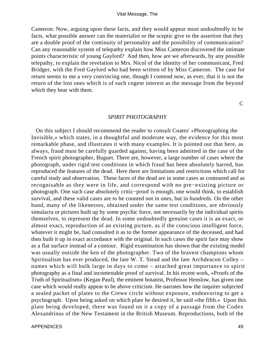Cameron. Now, arguing upon these facts, and they would appear most undoubtedly to be facts, what possible answer can the materialist or the sceptic give to the assertion that they are a double proof of the continuity of personality and the possibility of communication? Can any reasonable system of telepathy explain how Miss Cameron discovered the intimate points characteristic of young Gaylord? And then, how are we afterwards, by any possible telepathy, to explain the revelation to Mrs. Nicol of the identity of her communicant, Fred Bridger, with the Fred Gaylord who had been written of by Miss Cameron. The case for return seems to me a very convincing one, though I contend now, as ever, that it is not the return of the lost ones which is of such cogent interest as the message from the beyond which they bear with them.

 $\mathsf{C}$ 

#### *SPIRIT PHOTOGRAPHY*

 On this subject I should recommend the reader to consult Coates' «Photographing the Invisible,» which states, in a thoughtful and moderate way, the evidence for this most remarkable phase, and illustrates it with many examples. It is pointed out that here, as always, fraud must be carefully guarded against, having been admitted in the case of the French spirit photographer, Buguet. There are, however, a large number of cases where the photograph, under rigid test conditions in which fraud has been absolutely barred, has reproduced the features of the dead. Here there are limitations and restrictions which call for careful study and observation. These faces of the dead are in some cases as contoured and as recognisable as they were in life, and correspond with no pre−existing picture or photograph. One such case absolutely critic−proof is enough, one would think, to establish survival, and these valid cases are to be counted not in ones, but in hundreds. On the other hand, many of the likenesses, obtained under the same test conditions, are obviously simulacra or pictures built up by some psychic force, not necessarily by the individual spirits themselves, to represent the dead. In some undoubtedly genuine cases it is an exact, or almost exact, reproduction of an existing picture, as if the conscious intelligent force, whatever it might be, had consulted it as to the former appearance of the deceased, and had then built it up in exact accordance with the original. In such cases the spirit face may show as a flat surface instead of a contour. Rigid examination has shown that the existing model was usually outside the ken of the photographer. Two of the bravest champions whom Spiritualism has ever produced, the late W. T. Stead and the late Archdeacon Colley – names which will bulk large in days to come – attached great importance to spirit photography as a final and incontestable proof of survival. In his recent work, «Proofs of the Truth of Spiritualism» (Kegan Paul), the eminent botanist, Professor Henslow, has given one case which would really appear to be above criticism. He narrates how the inquirer subjected a sealed packet of plates to the Crewe circle without exposure, endeavoring to get a psychograph. Upon being asked on which plate he desired it, he said «the fifth.» Upon this plate being developed, there was found on it a copy of a passage from the Codex Alexandrinus of the New Testament in the British Museum. Reproductions, both of the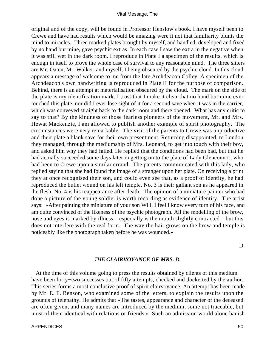original and of the copy, will be found in Professor Henslow's book. I have myself been to Crewe and have had results which would be amazing were it not that familiarity blunts the mind to miracles. Three marked plates brought by myself, and handled, developed and fixed by no hand but mine, gave psychic extras. In each case I saw the extra in the negative when it was still wet in the dark room. I reproduce in Plate I a specimen of the results, which is enough in itself to prove the whole case of survival to any reasonable mind. The three sitters are Mr. Oaten, Mr. Walker, and myself, I being obscured by the psychic cloud. In this cloud appears a message of welcome to me from the late Archdeacon Colley. A specimen of the Archdeacon's own handwriting is reproduced in Plate II for the purpose of comparison. Behind, there is an attempt at materialisation obscured by the cloud. The mark on the side of the plate is my identification mark. I trust that I make it clear that no hand but mine ever touched this plate, nor did I ever lose sight of it for a second save when it was in the carrier, which was conveyed straight back to the dark room and there opened. What has any critic to say to that? By the kindness of those fearless pioneers of the movement, Mr. and Mrs. Hewat Mackenzie, I am allowed to publish another example of spirit photography. The circumstances were very remarkable. The visit of the parents to Crewe was unproductive and their plate a blank save for their own presentment. Returning disappointed, to London they managed, through the mediumship of Mrs. Leonard, to get into touch with their boy, and asked him why they had failed. He replied that the conditions had been bad, but that he had actually succeeded some days later in getting on to the plate of Lady Glenconnor, who had been to Crewe upon a similar errand. The parents communicated with this lady, who replied saying that she had found the image of a stranger upon her plate. On receiving a print they at once recognised their son, and could even see that, as a proof of identity, he had reproduced the bullet wound on his left temple. No. 3 is their gallant son as he appeared in the flesh, No. 4 is his reappearance after death. The opinion of a miniature painter who had done a picture of the young soldier is worth recording as evidence of identity. The artist says: «After painting the miniature of your son Will, I feel I know every turn of his face, and am quite convinced of the likeness of the psychic photograph. All the modelling of the brow, nose and eyes is marked by illness – especially is the mouth slightly contracted – but this does not interfere with the real form. The way the hair grows on the brow and temple is noticeably like the photograph taken before he was wounded.»

D

#### *THE CLAIRVOYANCE OF MRS. B.*

 At the time of this volume going to press the results obtained by clients of this medium have been forty−two successes out of fifty attempts, checked and docketted by the author. This series forms a most conclusive proof of spirit clairvoyance. An attempt has been made by Mr. E. F. Benson, who examined some of the letters, to explain the results upon the grounds of telepathy. He admits that «The tastes, appearance and character of the deceased are often given, and many names are introduced by the medium, some not traceable, but most of them identical with relations or friends.» Such an admission would alone banish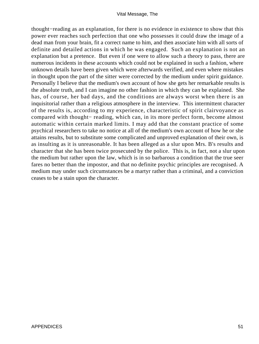thought−reading as an explanation, for there is no evidence in existence to show that this power ever reaches such perfection that one who possesses it could draw the image of a dead man from your brain, fit a correct name to him, and then associate him with all sorts of definite and detailed actions in which he was engaged. Such an explanation is not an explanation but a pretence. But even if one were to allow such a theory to pass, there are numerous incidents in these accounts which could not be explained in such a fashion, where unknown details have been given which were afterwards verified, and even where mistakes in thought upon the part of the sitter were corrected by the medium under spirit guidance. Personally I believe that the medium's own account of how she gets her remarkable results is the absolute truth, and I can imagine no other fashion in which they can be explained. She has, of course, her bad days, and the conditions are always worst when there is an inquisitorial rather than a religious atmosphere in the interview. This intermittent character of the results is, according to my experience, characteristic of spirit clairvoyance as compared with thought− reading, which can, in its more perfect form, become almost automatic within certain marked limits. I may add that the constant practice of some psychical researchers to take no notice at all of the medium's own account of how he or she attains results, but to substitute some complicated and unproved explanation of their own, is as insulting as it is unreasonable. It has been alleged as a slur upon Mrs. B's results and character that she has been twice prosecuted by the police. This is, in fact, not a slur upon the medium but rather upon the law, which is in so barbarous a condition that the true seer fares no better than the impostor, and that no definite psychic principles are recognised. A medium may under such circumstances be a martyr rather than a criminal, and a conviction ceases to be a stain upon the character.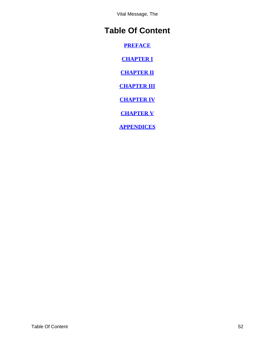Vital Message, The

# <span id="page-52-0"></span>**Table Of Content**

**[PREFACE](#page-3-0)**

**[CHAPTER I](#page-4-0)**

**[CHAPTER II](#page-10-0)**

**[CHAPTER III](#page-17-0)**

**[CHAPTER IV](#page-28-0)**

**[CHAPTER V](#page-36-0)**

**[APPENDICES](#page-45-0)**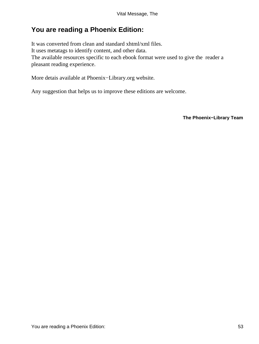# <span id="page-53-0"></span>**You are reading a Phoenix Edition:**

It was converted from clean and standard xhtml/xml files. It uses metatags to identify content, and other data. The available resources specific to each ebook format were used to give the reader a pleasant reading experience.

More detais available at Phoenix−Library.org website.

Any suggestion that helps us to improve these editions are welcome.

**The Phoenix−Library Team**